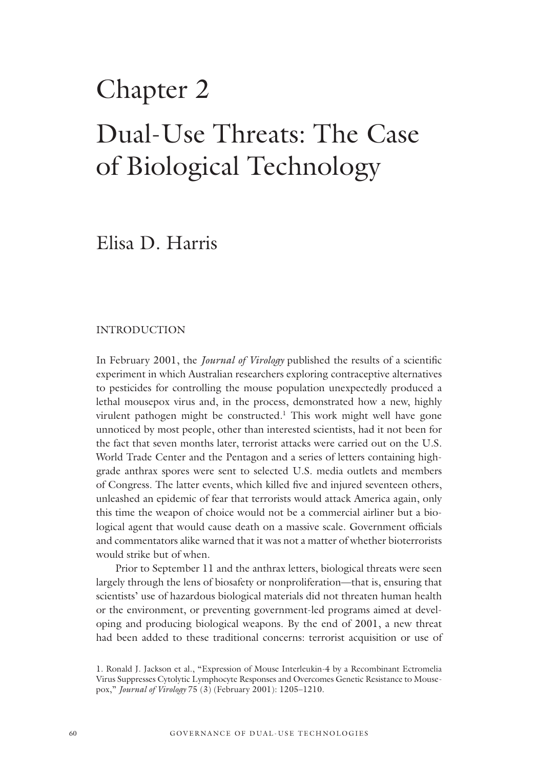# Chapter 2 Dual-Use Threats: The Case of Biological Technology

Elisa D. Harris

#### INTRODUCTION

In February 2001, the *Journal of Virology* published the results of a scientific experiment in which Australian researchers exploring contraceptive alternatives to pesticides for controlling the mouse population unexpectedly produced a lethal mousepox virus and, in the process, demonstrated how a new, highly virulent pathogen might be constructed.<sup>1</sup> This work might well have gone unnoticed by most people, other than interested scientists, had it not been for the fact that seven months later, terrorist attacks were carried out on the U.S. World Trade Center and the Pentagon and a series of letters containing highgrade anthrax spores were sent to selected U.S. media outlets and members of Congress. The latter events, which killed five and injured seventeen others, unleashed an epidemic of fear that terrorists would attack America again, only this time the weapon of choice would not be a commercial airliner but a biological agent that would cause death on a massive scale. Government officials and commentators alike warned that it was not a matter of whether bioterrorists would strike but of when.

Prior to September 11 and the anthrax letters, biological threats were seen largely through the lens of biosafety or nonproliferation—that is, ensuring that scientists' use of hazardous biological materials did not threaten human health or the environment, or preventing government-led programs aimed at developing and producing biological weapons. By the end of 2001, a new threat had been added to these traditional concerns: terrorist acquisition or use of

<sup>1.</sup> Ronald J. Jackson et al., "Expression of Mouse Interleukin-4 by a Recombinant Ectromelia Virus Suppresses Cytolytic Lymphocyte Responses and Overcomes Genetic Resistance to Mousepox," *Journal of Virology* 75 (3) (February 2001): 1205–1210.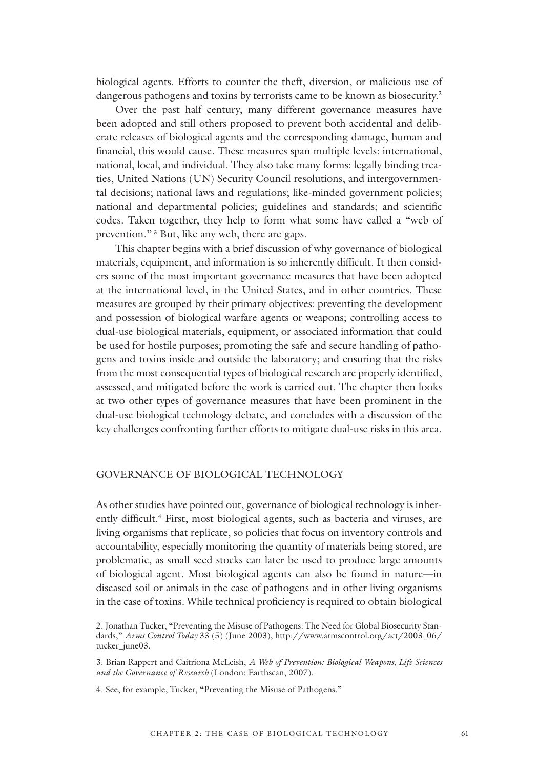biological agents. Efforts to counter the theft, diversion, or malicious use of dangerous pathogens and toxins by terrorists came to be known as biosecurity.<sup>2</sup>

Over the past half century, many different governance measures have been adopted and still others proposed to prevent both accidental and deliberate releases of biological agents and the corresponding damage, human and financial, this would cause. These measures span multiple levels: international, national, local, and individual. They also take many forms: legally binding treaties, United Nations (UN) Security Council resolutions, and intergovernmental decisions; national laws and regulations; like-minded government policies; national and departmental policies; guidelines and standards; and scientific codes. Taken together, they help to form what some have called a "web of prevention."<sup>3</sup> But, like any web, there are gaps.

This chapter begins with a brief discussion of why governance of biological materials, equipment, and information is so inherently difficult. It then considers some of the most important governance measures that have been adopted at the international level, in the United States, and in other countries. These measures are grouped by their primary objectives: preventing the development and possession of biological warfare agents or weapons; controlling access to dual-use biological materials, equipment, or associated information that could be used for hostile purposes; promoting the safe and secure handling of pathogens and toxins inside and outside the laboratory; and ensuring that the risks from the most consequential types of biological research are properly identified, assessed, and mitigated before the work is carried out. The chapter then looks at two other types of governance measures that have been prominent in the dual-use biological technology debate, and concludes with a discussion of the key challenges confronting further efforts to mitigate dual-use risks in this area.

#### GOVERNANCE OF BIOLOGICAL TECHNOLOGY

As other studies have pointed out, governance of biological technology is inherently difficult.<sup>4</sup> First, most biological agents, such as bacteria and viruses, are living organisms that replicate, so policies that focus on inventory controls and accountability, especially monitoring the quantity of materials being stored, are problematic, as small seed stocks can later be used to produce large amounts of biological agent. Most biological agents can also be found in nature—in diseased soil or animals in the case of pathogens and in other living organisms in the case of toxins. While technical proficiency is required to obtain biological

3. Brian Rappert and Caitriona McLeish, *A Web of Prevention: Biological Weapons, Life Sciences and the Governance of Research* (London: Earthscan, 2007).

4. See, for example, Tucker, "Preventing the Misuse of Pathogens."

<sup>2.</sup> Jonathan Tucker, "Preventing the Misuse of Pathogens: The Need for Global Biosecurity Standards," *Arms Control Today* 33 (5) (June 2003), http://www.armscontrol.org/act/2003\_06/ tucker\_june03.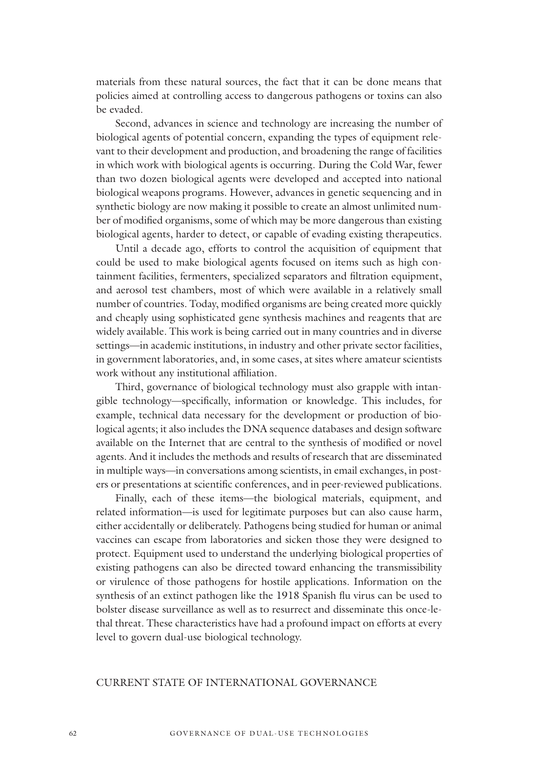materials from these natural sources, the fact that it can be done means that policies aimed at controlling access to dangerous pathogens or toxins can also be evaded.

Second, advances in science and technology are increasing the number of biological agents of potential concern, expanding the types of equipment relevant to their development and production, and broadening the range of facilities in which work with biological agents is occurring. During the Cold War, fewer than two dozen biological agents were developed and accepted into national biological weapons programs. However, advances in genetic sequencing and in synthetic biology are now making it possible to create an almost unlimited number of modified organisms, some of which may be more dangerous than existing biological agents, harder to detect, or capable of evading existing therapeutics.

Until a decade ago, efforts to control the acquisition of equipment that could be used to make biological agents focused on items such as high containment facilities, fermenters, specialized separators and filtration equipment, and aerosol test chambers, most of which were available in a relatively small number of countries. Today, modified organisms are being created more quickly and cheaply using sophisticated gene synthesis machines and reagents that are widely available. This work is being carried out in many countries and in diverse settings—in academic institutions, in industry and other private sector facilities, in government laboratories, and, in some cases, at sites where amateur scientists work without any institutional affiliation.

Third, governance of biological technology must also grapple with intangible technology—specifically, information or knowledge. This includes, for example, technical data necessary for the development or production of biological agents; it also includes the DNA sequence databases and design software available on the Internet that are central to the synthesis of modified or novel agents. And it includes the methods and results of research that are disseminated in multiple ways—in conversations among scientists, in email exchanges, in posters or presentations at scientific conferences, and in peer-reviewed publications.

Finally, each of these items—the biological materials, equipment, and related information—is used for legitimate purposes but can also cause harm, either accidentally or deliberately. Pathogens being studied for human or animal vaccines can escape from laboratories and sicken those they were designed to protect. Equipment used to understand the underlying biological properties of existing pathogens can also be directed toward enhancing the transmissibility or virulence of those pathogens for hostile applications. Information on the synthesis of an extinct pathogen like the 1918 Spanish flu virus can be used to bolster disease surveillance as well as to resurrect and disseminate this once-lethal threat. These characteristics have had a profound impact on efforts at every level to govern dual-use biological technology.

#### CURRENT STATE OF INTERNATIONAL GOVERNANCE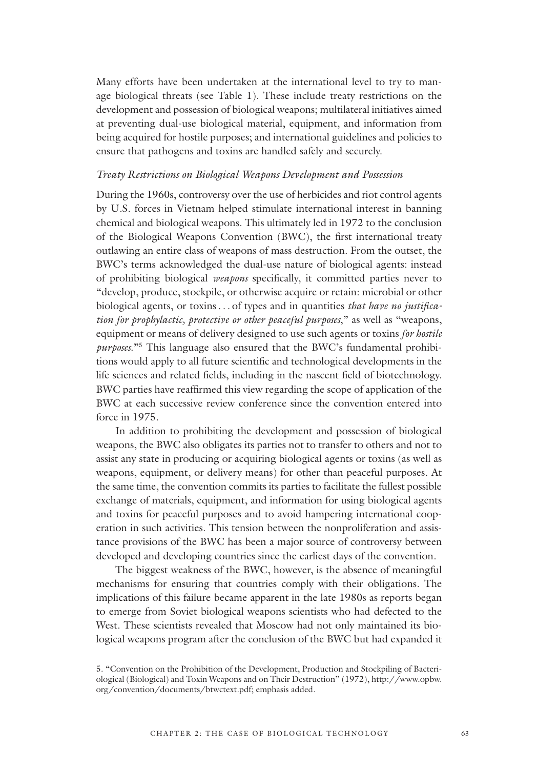Many efforts have been undertaken at the international level to try to manage biological threats (see Table 1). These include treaty restrictions on the development and possession of biological weapons; multilateral initiatives aimed at preventing dual-use biological material, equipment, and information from being acquired for hostile purposes; and international guidelines and policies to ensure that pathogens and toxins are handled safely and securely.

#### *Treaty Restrictions on Biological Weapons Development and Possession*

During the 1960s, controversy over the use of herbicides and riot control agents by U.S. forces in Vietnam helped stimulate international interest in banning chemical and biological weapons. This ultimately led in 1972 to the conclusion of the Biological Weapons Convention (BWC), the first international treaty outlawing an entire class of weapons of mass destruction. From the outset, the BWC's terms acknowledged the dual-use nature of biological agents: instead of prohibiting biological *weapons* specifically, it committed parties never to "develop, produce, stockpile, or otherwise acquire or retain: microbial or other biological agents, or toxins. . . of types and in quantities *that have no justification for prophylactic, protective or other peaceful purposes*," as well as "weapons, equipment or means of delivery designed to use such agents or toxins *for hostile purposes*."5 This language also ensured that the BWC's fundamental prohibitions would apply to all future scientific and technological developments in the life sciences and related fields, including in the nascent field of biotechnology. BWC parties have reaffirmed this view regarding the scope of application of the BWC at each successive review conference since the convention entered into force in 1975.

In addition to prohibiting the development and possession of biological weapons, the BWC also obligates its parties not to transfer to others and not to assist any state in producing or acquiring biological agents or toxins (as well as weapons, equipment, or delivery means) for other than peaceful purposes. At the same time, the convention commits its parties to facilitate the fullest possible exchange of materials, equipment, and information for using biological agents and toxins for peaceful purposes and to avoid hampering international cooperation in such activities. This tension between the nonproliferation and assistance provisions of the BWC has been a major source of controversy between developed and developing countries since the earliest days of the convention.

The biggest weakness of the BWC, however, is the absence of meaningful mechanisms for ensuring that countries comply with their obligations. The implications of this failure became apparent in the late 1980s as reports began to emerge from Soviet biological weapons scientists who had defected to the West. These scientists revealed that Moscow had not only maintained its biological weapons program after the conclusion of the BWC but had expanded it

<sup>5. &</sup>quot;Convention on the Prohibition of the Development, Production and Stockpiling of Bacteriological (Biological) and Toxin Weapons and on Their Destruction" (1972), http://www.opbw. org/convention/documents/btwctext.pdf; emphasis added.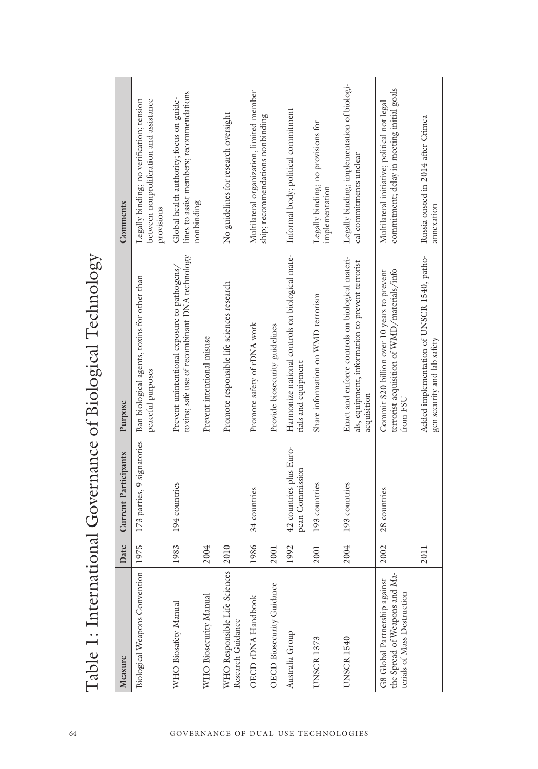| Legally binding; implementation of biologi-<br>commitment; delay in meeting initial goals<br>Multilateral organization, limited member-<br>lines to assist members; recommendations<br>Global health authority; focus on guide-<br>Legally binding; no verification; tension<br>between nonproliferation and assistance<br>Multilateral initiative; political not legal<br>Informal body; political commitment<br>No guidelines for research oversight<br>ship; recommendations nonbinding<br>Russia ousted in 2014 after Crimea<br>Legally binding; no provisions for<br>cal commitments unclear<br>implementation<br>nonbinding<br>Comments<br>provisions<br>Harmonize national controls on biological mate-<br>Table 1: International Governance of Biological Technology<br>Added implementation of UNSCR 1540, patho-<br>toxins; safe use of recombinant DNA technology<br>Enact and enforce controls on biological materi-<br>als, equipment, information to prevent terrorist<br>Prevent unintentional exposure to pathogens/<br>terrorist acquisition of WMD/materials/info<br>Commit \$20 billion over 10 years to prevent<br>173 parties, 9 signatories   Ban biological agents, toxins for other than<br>Promote responsible life sciences research<br>Share information on WMD terrorism<br>Promote safety of rDNA work<br>Provide biosecurity guidelines<br>Prevent intentional misuse<br>rials and equipment<br>peaceful purposes<br>acquisition<br>from FSU<br>Purpose<br>42 countries plus Euro-<br>Current Participants<br>pean Commission<br>194 countries<br>193 countries<br>193 countries<br>34 countries<br>28 countries<br>Biological Weapons Convention 1975<br>2004<br>Date<br>1983<br>1986<br>2004<br>1992<br>2002<br>2010<br>2001<br>2001<br>2011<br>WHO Responsible Life Sciences<br>the Spread of Weapons and Ma-<br>G8 Global Partnership against<br>OECD Biosecurity Guidance<br>terials of Mass Destruction<br>WHO Biosecurity Manual<br>OECD rDNA Handbook<br>WHO Biosafety Manual<br>Research Guidance<br>Australia Group<br><b>UNSCR 1540</b><br><b>UNSCR1373</b><br>Measure |
|-----------------------------------------------------------------------------------------------------------------------------------------------------------------------------------------------------------------------------------------------------------------------------------------------------------------------------------------------------------------------------------------------------------------------------------------------------------------------------------------------------------------------------------------------------------------------------------------------------------------------------------------------------------------------------------------------------------------------------------------------------------------------------------------------------------------------------------------------------------------------------------------------------------------------------------------------------------------------------------------------------------------------------------------------------------------------------------------------------------------------------------------------------------------------------------------------------------------------------------------------------------------------------------------------------------------------------------------------------------------------------------------------------------------------------------------------------------------------------------------------------------------------------------------------------------------------------------------------------------------------------------------------------------------------------------------------------------------------------------------------------------------------------------------------------------------------------------------------------------------------------------------------------------------------------------------------------------------------------------------------------------------------------------------------------------------------------------------------------------------|
|-----------------------------------------------------------------------------------------------------------------------------------------------------------------------------------------------------------------------------------------------------------------------------------------------------------------------------------------------------------------------------------------------------------------------------------------------------------------------------------------------------------------------------------------------------------------------------------------------------------------------------------------------------------------------------------------------------------------------------------------------------------------------------------------------------------------------------------------------------------------------------------------------------------------------------------------------------------------------------------------------------------------------------------------------------------------------------------------------------------------------------------------------------------------------------------------------------------------------------------------------------------------------------------------------------------------------------------------------------------------------------------------------------------------------------------------------------------------------------------------------------------------------------------------------------------------------------------------------------------------------------------------------------------------------------------------------------------------------------------------------------------------------------------------------------------------------------------------------------------------------------------------------------------------------------------------------------------------------------------------------------------------------------------------------------------------------------------------------------------------|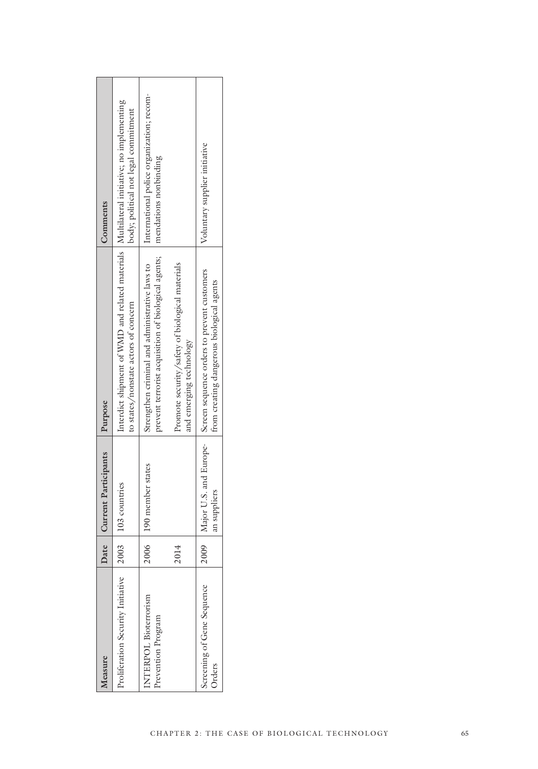| Measure                                            |      | ate   Current Participants               | Purpose                                                                                                                            | Comments                                                           |
|----------------------------------------------------|------|------------------------------------------|------------------------------------------------------------------------------------------------------------------------------------|--------------------------------------------------------------------|
| Proliferation Security Initiative                  |      | $\vert 2003 \vert$ $\vert 103$ countries | Interdict shipment of WMD and related materials   Multilateral initiative; no implementing<br>to states/nonstate actors of concern | body; political not legal commitment                               |
| <b>INTERPOL Bioterrorism</b><br>Prevention Program |      | 2006 190 member states                   | prevent terrorist acquisition of biological agents;<br>Strengthen criminal and administrative laws to                              | International police organization; recom-<br>mendations nonbinding |
|                                                    | 2014 |                                          | Promote security/safety of biological materials<br>and emerging technology                                                         |                                                                    |
| Screening of Gene Sequence<br>Orders               |      | an suppliers                             | 2009   Major U.S. and Europe-   Screen sequence orders to prevent customers<br>from creating dangerous biological agents           | Voluntary supplier initiative                                      |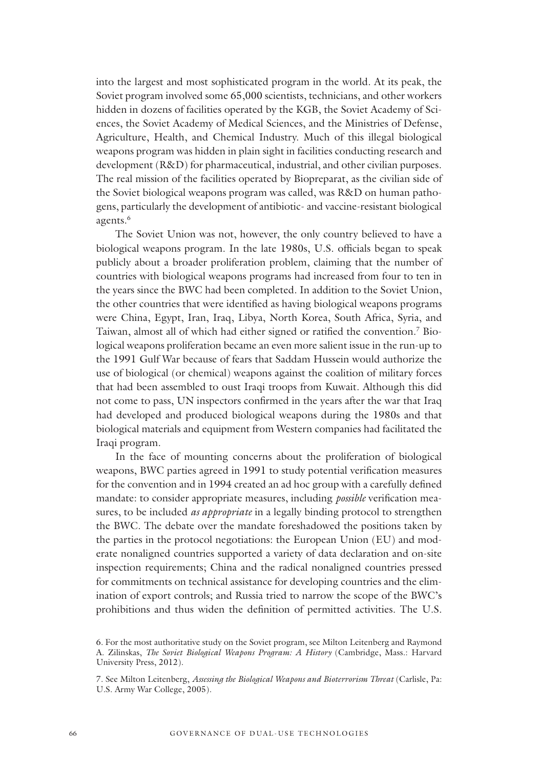into the largest and most sophisticated program in the world. At its peak, the Soviet program involved some 65,000 scientists, technicians, and other workers hidden in dozens of facilities operated by the KGB, the Soviet Academy of Sciences, the Soviet Academy of Medical Sciences, and the Ministries of Defense, Agriculture, Health, and Chemical Industry. Much of this illegal biological weapons program was hidden in plain sight in facilities conducting research and development (R&D) for pharmaceutical, industrial, and other civilian purposes. The real mission of the facilities operated by Biopreparat, as the civilian side of the Soviet biological weapons program was called, was R&D on human pathogens, particularly the development of antibiotic- and vaccine-resistant biological agents.<sup>6</sup>

The Soviet Union was not, however, the only country believed to have a biological weapons program. In the late 1980s, U.S. officials began to speak publicly about a broader proliferation problem, claiming that the number of countries with biological weapons programs had increased from four to ten in the years since the BWC had been completed. In addition to the Soviet Union, the other countries that were identified as having biological weapons programs were China, Egypt, Iran, Iraq, Libya, North Korea, South Africa, Syria, and Taiwan, almost all of which had either signed or ratified the convention.7 Biological weapons proliferation became an even more salient issue in the run-up to the 1991 Gulf War because of fears that Saddam Hussein would authorize the use of biological (or chemical) weapons against the coalition of military forces that had been assembled to oust Iraqi troops from Kuwait. Although this did not come to pass, UN inspectors confirmed in the years after the war that Iraq had developed and produced biological weapons during the 1980s and that biological materials and equipment from Western companies had facilitated the Iraqi program.

In the face of mounting concerns about the proliferation of biological weapons, BWC parties agreed in 1991 to study potential verification measures for the convention and in 1994 created an ad hoc group with a carefully defined mandate: to consider appropriate measures, including *possible* verification measures, to be included *as appropriate* in a legally binding protocol to strengthen the BWC. The debate over the mandate foreshadowed the positions taken by the parties in the protocol negotiations: the European Union (EU) and moderate nonaligned countries supported a variety of data declaration and on-site inspection requirements; China and the radical nonaligned countries pressed for commitments on technical assistance for developing countries and the elimination of export controls; and Russia tried to narrow the scope of the BWC's prohibitions and thus widen the definition of permitted activities. The U.S.

<sup>6.</sup> For the most authoritative study on the Soviet program, see Milton Leitenberg and Raymond A. Zilinskas, *The Soviet Biological Weapons Program: A History* (Cambridge, Mass.: Harvard University Press, 2012).

<sup>7.</sup> See Milton Leitenberg, *Assessing the Biological Weapons and Bioterrorism Threat* (Carlisle, Pa: U.S. Army War College, 2005).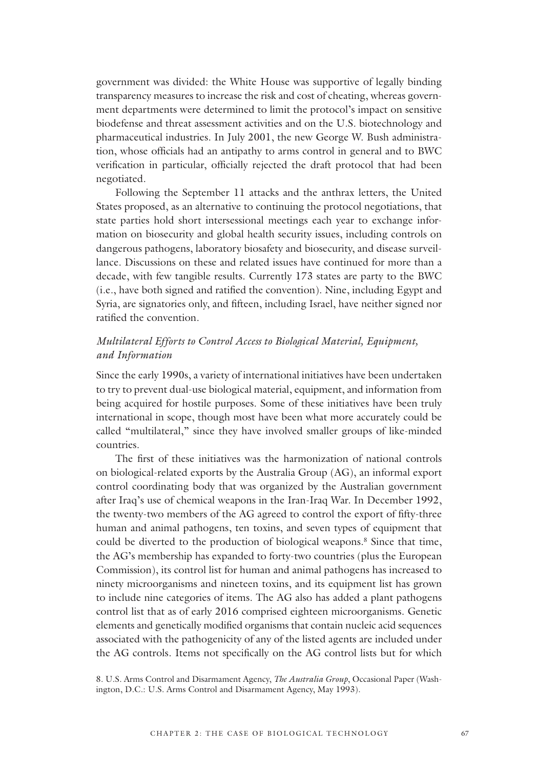government was divided: the White House was supportive of legally binding transparency measures to increase the risk and cost of cheating, whereas government departments were determined to limit the protocol's impact on sensitive biodefense and threat assessment activities and on the U.S. biotechnology and pharmaceutical industries. In July 2001, the new George W. Bush administration, whose officials had an antipathy to arms control in general and to BWC verification in particular, officially rejected the draft protocol that had been negotiated.

Following the September 11 attacks and the anthrax letters, the United States proposed, as an alternative to continuing the protocol negotiations, that state parties hold short intersessional meetings each year to exchange information on biosecurity and global health security issues, including controls on dangerous pathogens, laboratory biosafety and biosecurity, and disease surveillance. Discussions on these and related issues have continued for more than a decade, with few tangible results. Currently 173 states are party to the BWC (i.e., have both signed and ratified the convention). Nine, including Egypt and Syria, are signatories only, and fifteen, including Israel, have neither signed nor ratified the convention.

#### *Multilateral Efforts to Control Access to Biological Material, Equipment, and Information*

Since the early 1990s, a variety of international initiatives have been undertaken to try to prevent dual-use biological material, equipment, and information from being acquired for hostile purposes. Some of these initiatives have been truly international in scope, though most have been what more accurately could be called "multilateral," since they have involved smaller groups of like-minded countries.

The first of these initiatives was the harmonization of national controls on biological-related exports by the Australia Group (AG), an informal export control coordinating body that was organized by the Australian government after Iraq's use of chemical weapons in the Iran-Iraq War. In December 1992, the twenty-two members of the AG agreed to control the export of fifty-three human and animal pathogens, ten toxins, and seven types of equipment that could be diverted to the production of biological weapons.<sup>8</sup> Since that time, the AG's membership has expanded to forty-two countries (plus the European Commission), its control list for human and animal pathogens has increased to ninety microorganisms and nineteen toxins, and its equipment list has grown to include nine categories of items. The AG also has added a plant pathogens control list that as of early 2016 comprised eighteen microorganisms. Genetic elements and genetically modified organisms that contain nucleic acid sequences associated with the pathogenicity of any of the listed agents are included under the AG controls. Items not specifically on the AG control lists but for which

8. U.S. Arms Control and Disarmament Agency, *The Australia Group*, Occasional Paper (Washington, D.C.: U.S. Arms Control and Disarmament Agency, May 1993).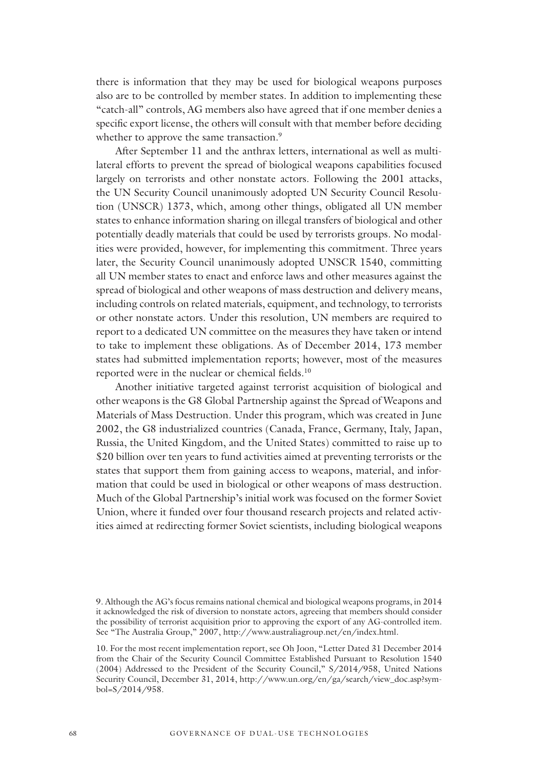there is information that they may be used for biological weapons purposes also are to be controlled by member states. In addition to implementing these "catch-all" controls, AG members also have agreed that if one member denies a specific export license, the others will consult with that member before deciding whether to approve the same transaction.<sup>9</sup>

After September 11 and the anthrax letters, international as well as multilateral efforts to prevent the spread of biological weapons capabilities focused largely on terrorists and other nonstate actors. Following the 2001 attacks, the UN Security Council unanimously adopted UN Security Council Resolution (UNSCR) 1373, which, among other things, obligated all UN member states to enhance information sharing on illegal transfers of biological and other potentially deadly materials that could be used by terrorists groups. No modalities were provided, however, for implementing this commitment. Three years later, the Security Council unanimously adopted UNSCR 1540, committing all UN member states to enact and enforce laws and other measures against the spread of biological and other weapons of mass destruction and delivery means, including controls on related materials, equipment, and technology, to terrorists or other nonstate actors. Under this resolution, UN members are required to report to a dedicated UN committee on the measures they have taken or intend to take to implement these obligations. As of December 2014, 173 member states had submitted implementation reports; however, most of the measures reported were in the nuclear or chemical fields.<sup>10</sup>

Another initiative targeted against terrorist acquisition of biological and other weapons is the G8 Global Partnership against the Spread of Weapons and Materials of Mass Destruction. Under this program, which was created in June 2002, the G8 industrialized countries (Canada, France, Germany, Italy, Japan, Russia, the United Kingdom, and the United States) committed to raise up to \$20 billion over ten years to fund activities aimed at preventing terrorists or the states that support them from gaining access to weapons, material, and information that could be used in biological or other weapons of mass destruction. Much of the Global Partnership's initial work was focused on the former Soviet Union, where it funded over four thousand research projects and related activities aimed at redirecting former Soviet scientists, including biological weapons

<sup>9.</sup> Although the AG's focus remains national chemical and biological weapons programs, in 2014 it acknowledged the risk of diversion to nonstate actors, agreeing that members should consider the possibility of terrorist acquisition prior to approving the export of any AG-controlled item. See "The Australia Group," 2007, http://www.australiagroup.net/en/index.html.

<sup>10.</sup> For the most recent implementation report, see Oh Joon, "Letter Dated 31 December 2014 from the Chair of the Security Council Committee Established Pursuant to Resolution 1540 (2004) Addressed to the President of the Security Council," S/2014/958, United Nations Security Council, December 31, 2014, http://www.un.org/en/ga/search/view\_doc.asp?symbol=S/2014/958.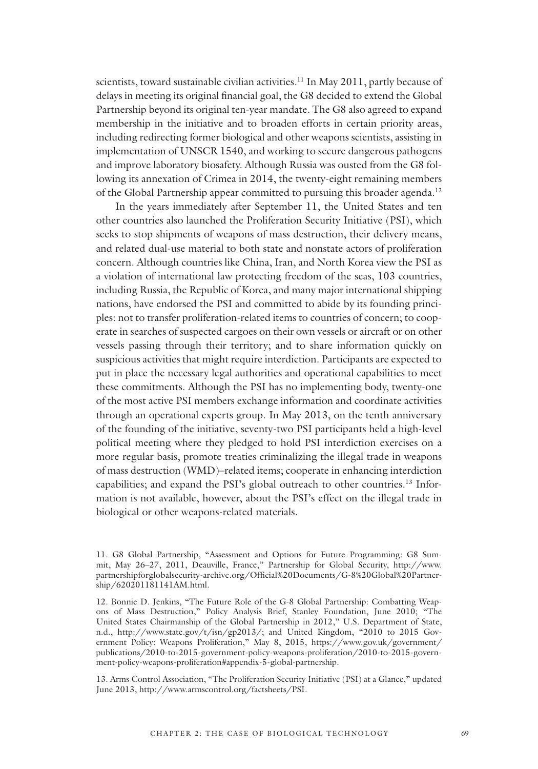scientists, toward sustainable civilian activities.<sup>11</sup> In May 2011, partly because of delays in meeting its original financial goal, the G8 decided to extend the Global Partnership beyond its original ten-year mandate. The G8 also agreed to expand membership in the initiative and to broaden efforts in certain priority areas, including redirecting former biological and other weapons scientists, assisting in implementation of UNSCR 1540, and working to secure dangerous pathogens and improve laboratory biosafety. Although Russia was ousted from the G8 following its annexation of Crimea in 2014, the twenty-eight remaining members of the Global Partnership appear committed to pursuing this broader agenda.<sup>12</sup>

In the years immediately after September 11, the United States and ten other countries also launched the Proliferation Security Initiative (PSI), which seeks to stop shipments of weapons of mass destruction, their delivery means, and related dual-use material to both state and nonstate actors of proliferation concern. Although countries like China, Iran, and North Korea view the PSI as a violation of international law protecting freedom of the seas, 103 countries, including Russia, the Republic of Korea, and many major international shipping nations, have endorsed the PSI and committed to abide by its founding principles: not to transfer proliferation-related items to countries of concern; to cooperate in searches of suspected cargoes on their own vessels or aircraft or on other vessels passing through their territory; and to share information quickly on suspicious activities that might require interdiction. Participants are expected to put in place the necessary legal authorities and operational capabilities to meet these commitments. Although the PSI has no implementing body, twenty-one of the most active PSI members exchange information and coordinate activities through an operational experts group. In May 2013, on the tenth anniversary of the founding of the initiative, seventy-two PSI participants held a high-level political meeting where they pledged to hold PSI interdiction exercises on a more regular basis, promote treaties criminalizing the illegal trade in weapons of mass destruction (WMD)–related items; cooperate in enhancing interdiction capabilities; and expand the PSI's global outreach to other countries.13 Information is not available, however, about the PSI's effect on the illegal trade in biological or other weapons-related materials.

13. Arms Control Association, "The Proliferation Security Initiative (PSI) at a Glance," updated June 2013, http://www.armscontrol.org/factsheets/PSI.

<sup>11.</sup> G8 Global Partnership, "Assessment and Options for Future Programming: G8 Summit, May 26–27, 2011, Deauville, France," Partnership for Global Security, http://www. partnershipforglobalsecurity-archive.org/Official%20Documents/G-8%20Global%20Partnership/620201181141AM.html.

<sup>12.</sup> Bonnie D. Jenkins, "The Future Role of the G-8 Global Partnership: Combatting Weapons of Mass Destruction," Policy Analysis Brief, Stanley Foundation, June 2010; "The United States Chairmanship of the Global Partnership in 2012," U.S. Department of State, n.d., http://www.state.gov/t/isn/gp2013/; and United Kingdom, "2010 to 2015 Government Policy: Weapons Proliferation," May 8, 2015, https://www.gov.uk/government/ publications/2010-to-2015-government-policy-weapons-proliferation/2010-to-2015-government-policy-weapons-proliferation#appendix-5-global-partnership.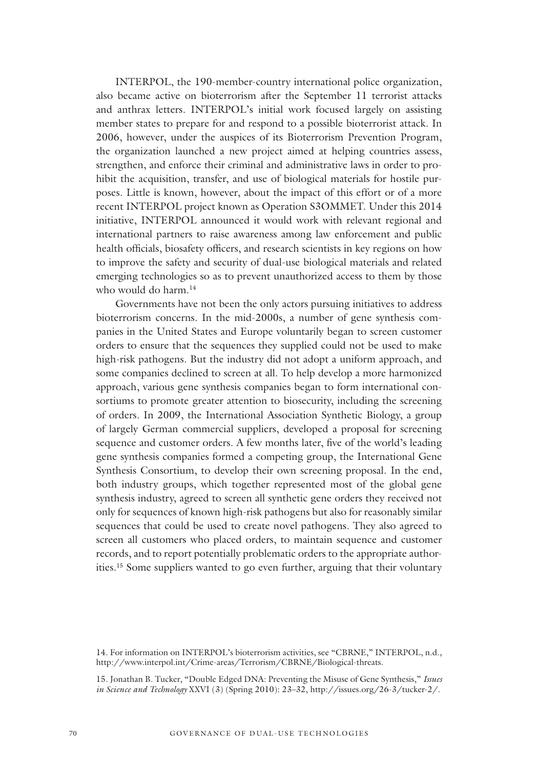INTERPOL, the 190-member-country international police organization, also became active on bioterrorism after the September 11 terrorist attacks and anthrax letters. INTERPOL's initial work focused largely on assisting member states to prepare for and respond to a possible bioterrorist attack. In 2006, however, under the auspices of its Bioterrorism Prevention Program, the organization launched a new project aimed at helping countries assess, strengthen, and enforce their criminal and administrative laws in order to prohibit the acquisition, transfer, and use of biological materials for hostile purposes. Little is known, however, about the impact of this effort or of a more recent INTERPOL project known as Operation S3OMMET. Under this 2014 initiative, INTERPOL announced it would work with relevant regional and international partners to raise awareness among law enforcement and public health officials, biosafety officers, and research scientists in key regions on how to improve the safety and security of dual-use biological materials and related emerging technologies so as to prevent unauthorized access to them by those who would do harm.14

Governments have not been the only actors pursuing initiatives to address bioterrorism concerns. In the mid-2000s, a number of gene synthesis companies in the United States and Europe voluntarily began to screen customer orders to ensure that the sequences they supplied could not be used to make high-risk pathogens. But the industry did not adopt a uniform approach, and some companies declined to screen at all. To help develop a more harmonized approach, various gene synthesis companies began to form international consortiums to promote greater attention to biosecurity, including the screening of orders. In 2009, the International Association Synthetic Biology, a group of largely German commercial suppliers, developed a proposal for screening sequence and customer orders. A few months later, five of the world's leading gene synthesis companies formed a competing group, the International Gene Synthesis Consortium, to develop their own screening proposal. In the end, both industry groups, which together represented most of the global gene synthesis industry, agreed to screen all synthetic gene orders they received not only for sequences of known high-risk pathogens but also for reasonably similar sequences that could be used to create novel pathogens. They also agreed to screen all customers who placed orders, to maintain sequence and customer records, and to report potentially problematic orders to the appropriate authorities.15 Some suppliers wanted to go even further, arguing that their voluntary

<sup>14.</sup> For information on INTERPOL's bioterrorism activities, see "CBRNE," INTERPOL, n.d., http://www.interpol.int/Crime-areas/Terrorism/CBRNE/Biological-threats.

<sup>15.</sup> Jonathan B. Tucker, "Double Edged DNA: Preventing the Misuse of Gene Synthesis," *Issues in Science and Technology* XXVI (3) (Spring 2010): 23–32, http://issues.org/26-3/tucker-2/.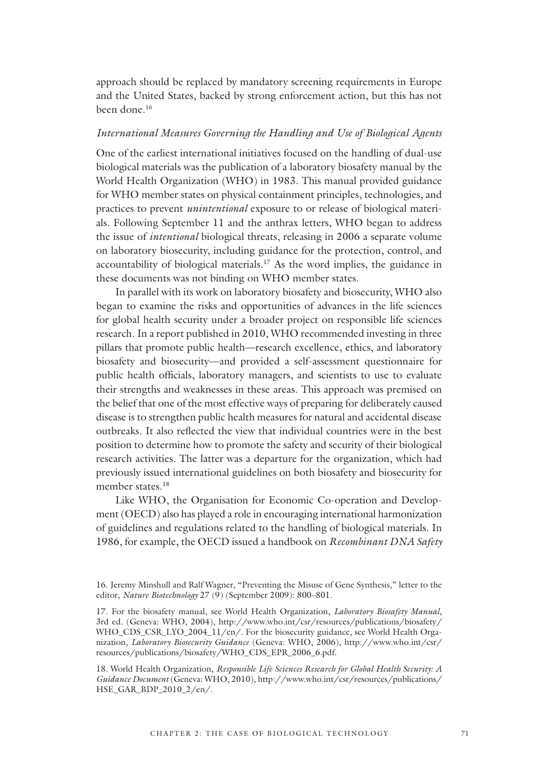approach should be replaced by mandatory screening requirements in Europe and the United States, backed by strong enforcement action, but this has not been done.16

#### *International Measures Governing the Handling and Use of Biological Agents*

One of the earliest international initiatives focused on the handling of dual-use biological materials was the publication of a laboratory biosafety manual by the World Health Organization (WHO) in 1983. This manual provided guidance for WHO member states on physical containment principles, technologies, and practices to prevent *unintentional* exposure to or release of biological materials. Following September 11 and the anthrax letters, WHO began to address the issue of *intentional* biological threats, releasing in 2006 a separate volume on laboratory biosecurity, including guidance for the protection, control, and accountability of biological materials.17 As the word implies, the guidance in these documents was not binding on WHO member states.

In parallel with its work on laboratory biosafety and biosecurity, WHO also began to examine the risks and opportunities of advances in the life sciences for global health security under a broader project on responsible life sciences research. In a report published in 2010, WHO recommended investing in three pillars that promote public health—research excellence, ethics, and laboratory biosafety and biosecurity—and provided a self-assessment questionnaire for public health officials, laboratory managers, and scientists to use to evaluate their strengths and weaknesses in these areas. This approach was premised on the belief that one of the most effective ways of preparing for deliberately caused disease is to strengthen public health measures for natural and accidental disease outbreaks. It also reflected the view that individual countries were in the best position to determine how to promote the safety and security of their biological research activities. The latter was a departure for the organization, which had previously issued international guidelines on both biosafety and biosecurity for member states.<sup>18</sup>

Like WHO, the Organisation for Economic Co-operation and Development (OECD) also has played a role in encouraging international harmonization of guidelines and regulations related to the handling of biological materials. In 1986, for example, the OECD issued a handbook on *Recombinant DNA Safety* 

<sup>16.</sup> Jeremy Minshull and Ralf Wagner, "Preventing the Misuse of Gene Synthesis," letter to the editor, *Nature Biotechnology* 27 (9) (September 2009): 800–801.

<sup>17.</sup> For the biosafety manual, see World Health Organization, *Laboratory Biosafety Manual*, 3rd ed. (Geneva: WHO, 2004), http://www.who.int/csr/resources/publications/biosafety/ WHO\_CDS\_CSR\_LYO\_2004\_11/en/. For the biosecurity guidance, see World Health Organization, *Laboratory Biosecurity Guidance* (Geneva: WHO, 2006), http://www.who.int/csr/ resources/publications/biosafety/WHO\_CDS\_EPR\_2006\_6.pdf.

<sup>18.</sup> World Health Organization, *Responsible Life Sciences Research for Global Health Security: A Guidance Document* (Geneva: WHO, 2010), http://www.who.int/csr/resources/publications/ HSE\_GAR\_BDP\_2010\_2/en/.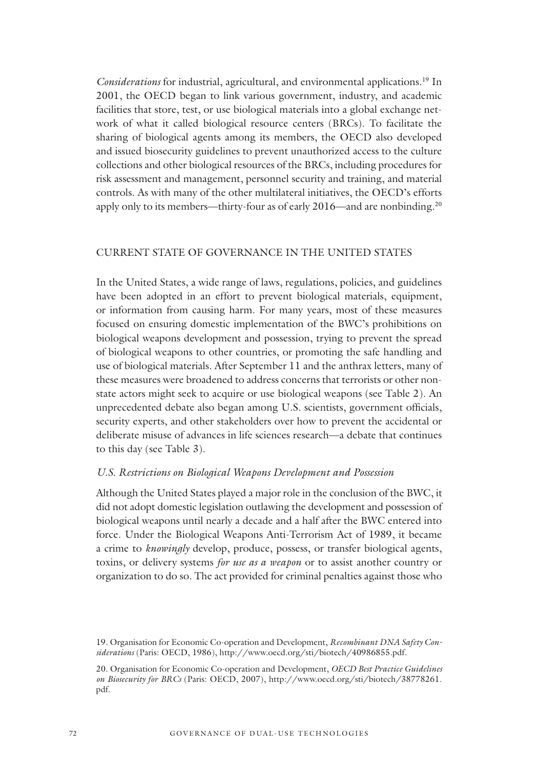*Considerations* for industrial, agricultural, and environmental applications.<sup>19</sup> In 2001, the OECD began to link various government, industry, and academic facilities that store, test, or use biological materials into a global exchange network of what it called biological resource centers (BRCs). To facilitate the sharing of biological agents among its members, the OECD also developed and issued biosecurity guidelines to prevent unauthorized access to the culture collections and other biological resources of the BRCs, including procedures for risk assessment and management, personnel security and training, and material controls. As with many of the other multilateral initiatives, the OECD's efforts apply only to its members—thirty-four as of early  $2016$ —and are nonbinding.<sup>20</sup>

#### CURRENT STATE OF GOVERNANCE IN THE UNITED STATES

In the United States, a wide range of laws, regulations, policies, and guidelines have been adopted in an effort to prevent biological materials, equipment, or information from causing harm. For many years, most of these measures focused on ensuring domestic implementation of the BWC's prohibitions on biological weapons development and possession, trying to prevent the spread of biological weapons to other countries, or promoting the safe handling and use of biological materials. After September 11 and the anthrax letters, many of these measures were broadened to address concerns that terrorists or other nonstate actors might seek to acquire or use biological weapons (see Table 2). An unprecedented debate also began among U.S. scientists, government officials, security experts, and other stakeholders over how to prevent the accidental or deliberate misuse of advances in life sciences research—a debate that continues to this day (see Table 3).

#### *U.S. Restrictions on Biological Weapons Development and Possession*

Although the United States played a major role in the conclusion of the BWC, it did not adopt domestic legislation outlawing the development and possession of biological weapons until nearly a decade and a half after the BWC entered into force. Under the Biological Weapons Anti-Terrorism Act of 1989, it became a crime to *knowingly* develop, produce, possess, or transfer biological agents, toxins, or delivery systems *for use as a weapon* or to assist another country or organization to do so. The act provided for criminal penalties against those who

<sup>19.</sup> Organisation for Economic Co-operation and Development, *Recombinant DNA Safety Considerations* (Paris: OECD, 1986), http://www.oecd.org/sti/biotech/40986855.pdf.

<sup>20.</sup> Organisation for Economic Co-operation and Development, *OECD Best Practice Guidelines on Biosecurity for BRCs* (Paris: OECD, 2007), http://www.oecd.org/sti/biotech/38778261. pdf.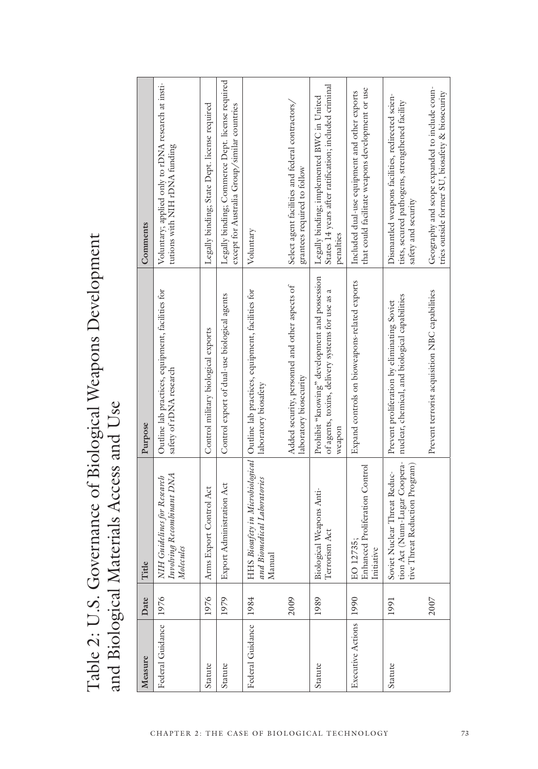Table 2: U.S. Governance of Biological Weapons Development Table 2: U.S. Governance of Biological Weapons Development and Biological Materials Access and Use and Biological Materials Access and Use

| Measure                | Date | Title                                                                                          | Purpose                                                                                                     | Comments                                                                                                                   |
|------------------------|------|------------------------------------------------------------------------------------------------|-------------------------------------------------------------------------------------------------------------|----------------------------------------------------------------------------------------------------------------------------|
| Federal Guidance       | 1976 | Involving Recombinant DNA<br>NIH Guidelines for Research<br>Molecules                          | Outline lab practices, equipment, facilities for<br>safety of rDNA research                                 | Voluntary; applied only to rDNA research at insti-<br>tutions with NIH rDNA funding                                        |
| Statute                | 1976 | Arms Export Control Act                                                                        | Control military biological exports                                                                         | Legally binding; State Dept. license required                                                                              |
| Statute                | 1979 | Administration Act<br>Export                                                                   | Control export of dual-use biological agents                                                                | Legally binding; Commerce Dept. license required<br>except for Australia Group/similar countries                           |
| Federal Guidance 1984  |      | and Biomedical Laboratories<br>Manual                                                          | HHS Biosafety in Microbiological Outline lab practices, equipment, facilities for<br>laboratory biosafety   | Voluntary                                                                                                                  |
|                        | 2009 |                                                                                                | Added security, personnel and other aspects of<br>laboratory biosecurity                                    | Select agent facilities and federal contractors/<br>grantees required to follow                                            |
| Statute                | 1989 | Biological Weapons Anti-<br>Terrorism Act                                                      | Prohibit "knowing" development and possession<br>of agents, toxins, delivery systems for use as a<br>weapon | States 14 years after ratification; included criminal<br>Legally binding; implemented BWC in United<br>penalties           |
| Executive Actions 1990 |      | Enhanced Proliferation Control<br>EO 12735.<br>Initiative                                      | Expand controls on bioweapons-related exports                                                               | that could facilitate weapons development or use<br>Included dual-use equipment and other exports                          |
| Statute                | 1991 | tion Act (Nunn-Lugar Coopera-<br>tive Threat Reduction Program<br>Soviet Nuclear Threat Reduc- | nuclear, chemical, and biological capabilities<br>Prevent proliferation by eliminating Soviet               | Dismantled weapons facilities, redirected scien-<br>tists, secured pathogens, strengthened facility<br>satety and security |
|                        | 2007 |                                                                                                | Prevent terrorist acquisition NBC capabilities                                                              | Geography and scope expanded to include coun-<br>tries outside former SU, biosafety & biosecurity                          |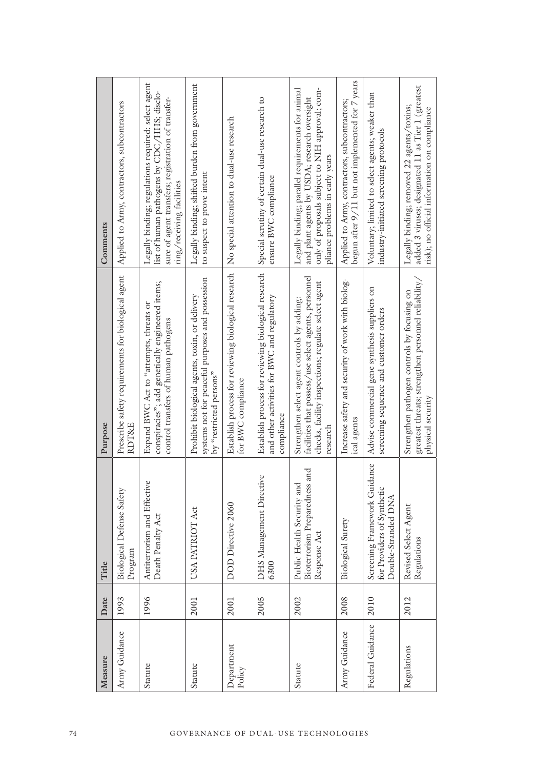| Measure              | Date | Title                                                                             | Purpose                                                                                                                                                                | Comments                                                                                                                                                                                |
|----------------------|------|-----------------------------------------------------------------------------------|------------------------------------------------------------------------------------------------------------------------------------------------------------------------|-----------------------------------------------------------------------------------------------------------------------------------------------------------------------------------------|
| Army Guidance        | 1993 | <b>Biological Defense Safety</b><br>Program                                       | Prescribe safety requirements for biological agent<br>RDT&E                                                                                                            | Applied to Army, contractors, subcontractors                                                                                                                                            |
| Statute              | 1996 | Antiterrorism and Effective<br>Death Penalty Act                                  | conspiracies"; add genetically engineered items;<br>Expand BWC Act to "attempts, threats or<br>control transfers of human pathogens                                    | Legally binding; regulations required: select agent<br>list of human pathogens by CDC/HHS; disclo-<br>sure of agent transfers; registration of transfer-<br>ring/receiving facilities   |
| Statute              | 2001 | <b>ATRIOT Act</b><br>USA <sub>1</sub>                                             | systems not for peaceful purposes and possession<br>Prohibit biological agents, toxin, or delivery<br>by "restricted persons"                                          | Legally binding; shifted burden from government<br>to suspect to prove intent                                                                                                           |
| Department<br>Policy | 2001 | Directive 2060<br>DOD                                                             | Establish process for reviewing biological research<br>for BWC compliance                                                                                              | No special attention to dual-use research                                                                                                                                               |
|                      | 2005 | Management Directive<br>DHS <sub>1</sub><br>6300                                  | Establish process for reviewing biological research<br>and other activities for BWC and regulatory<br>compliance                                                       | Special scrutiny of certain dual-use research to<br>ensure BWC compliance                                                                                                               |
| Statute              | 2002 | Bioterrorism Preparedness and<br>Health Security and<br>Response Act<br>Public    | facilities that possess/use select agents, personnel<br>checks, facility inspections; regulate select agent<br>Strengthen select agent controls by adding:<br>research | Legally binding; parallel requirements for animal<br>only of proposals subject to NIH approval; com-<br>and plant agents by USDA; research oversight<br>pliance problems in early years |
| Army Guidance        | 2008 | Biological Surety                                                                 | Increase safety and security of work with biolog-<br>ical agents                                                                                                       | begun after 9/11 but not implemented for 7 years<br>Applied to Army, contractors, subcontractors;                                                                                       |
| Federal Guidance     | 2010 | Screening Framework Guidance<br>for Providers of Synthetic<br>Double-Stranded DNA | Advise commercial gene synthesis suppliers on<br>screening sequence and customer orders                                                                                | Voluntary; limited to select agents; weaker than<br>industry-initiated screening protocols                                                                                              |
| Regulations          | 2012 | Revised Select Agent<br>Regulations                                               | greatest threats; strengthen personnel reliability,<br>Strengthen pathogen controls by focusing on<br>physical security                                                | added 3 viruses; designated 11 as Tier 1 (greatest<br>Legally binding; removed 22 agents/toxins;<br>risk); no official information on compliance                                        |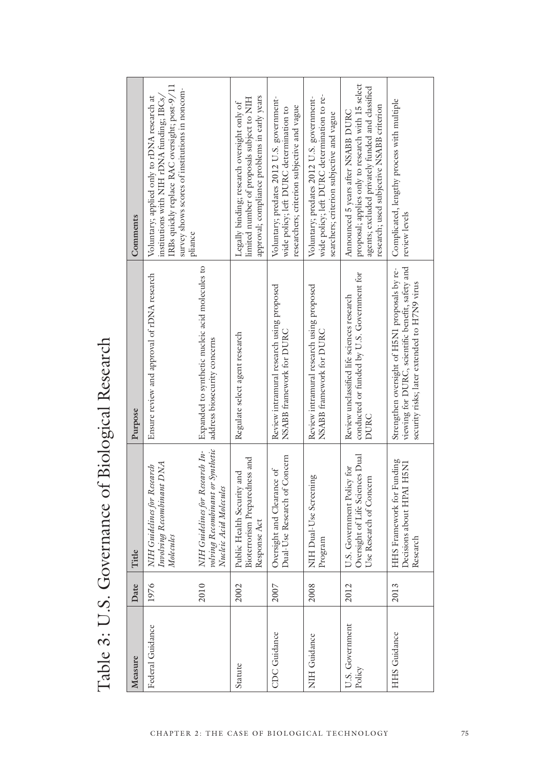| )<br>d                                 |  |
|----------------------------------------|--|
| とくさんこう                                 |  |
|                                        |  |
|                                        |  |
|                                        |  |
| ļ                                      |  |
|                                        |  |
|                                        |  |
|                                        |  |
|                                        |  |
|                                        |  |
|                                        |  |
| avernance of Kiological<br>;<br>;<br>; |  |
|                                        |  |
|                                        |  |
|                                        |  |
| $\frac{1}{2}$                          |  |
|                                        |  |
|                                        |  |
|                                        |  |
|                                        |  |
|                                        |  |
|                                        |  |
|                                        |  |
|                                        |  |
|                                        |  |
|                                        |  |
|                                        |  |
| くしょく                                   |  |
| $\mathbf{r}$                           |  |
|                                        |  |
|                                        |  |
|                                        |  |
|                                        |  |
| 。)<br>> 、                              |  |
|                                        |  |
| $\frac{1}{2}$                          |  |
|                                        |  |
| j                                      |  |
|                                        |  |

| Measure                   | Date | Fil                                                                                           | Purpose                                                                                                                                           | Comments                                                                                                                                                                                    |
|---------------------------|------|-----------------------------------------------------------------------------------------------|---------------------------------------------------------------------------------------------------------------------------------------------------|---------------------------------------------------------------------------------------------------------------------------------------------------------------------------------------------|
| Federal Guidance          | 1976 | Involving Recombinant DNA<br>NIH Guidelines for Research<br>Molecules                         | Ensure review and approval of rDNA research                                                                                                       | IRBs quickly replace RAC oversight; post-9/11<br>survey shows scores of institutions in noncom-<br>Voluntary; applied only to rDNA research at<br>institutions with NIH rDNA funding; IBCs, |
|                           | 2010 | NIH Guidelines for Research In-<br>volving Recombinant or Synthetic<br>Nucleic Acid Molecules | Expanded to synthetic nucleic acid molecules to<br>address biosecurity concerns                                                                   | phance                                                                                                                                                                                      |
| Statute                   | 2002 | Bioterrorism Preparedness and<br>Public Health Security and<br>Response Act                   | Regulate select agent research                                                                                                                    | approval; compliance problems in early years<br>limited number of proposals subject to NIH<br>Legally binding; research oversight only of                                                   |
| CDC Guidance              | 2007 | Dual-Use Research of Concern<br>Oversight and Clearance of                                    | Review intramural research using proposed<br>NSABB framework for DURC                                                                             | Voluntary; predates 2012 U.S. government-<br>researchers; criterion subjective and vague<br>wide policy; left DURC determination to                                                         |
| <b>NIH Guidance</b>       | 2008 | NIH Dual-Use Screening<br>Program                                                             | Review intramural research using proposed<br>NSABB framework for DURC                                                                             | wide policy; left DURC determination to re-<br>Voluntary; predates 2012 U.S. government-<br>searchers; criterion subjective and vague                                                       |
| U.S. Government<br>Policy | 2012 | U.S. Government Policy for<br>Oversight of Life Sciences Dual<br>Use Research of Concern      | conducted or funded by U.S. Government for<br>Review unclassified life sciences research<br>DURC                                                  | proposal; applies only to research with 15 select<br>agents; excluded privately funded and classified<br>research; used subjective NSABB criterion<br>Announced 5 years after NSABB DURC    |
| <b>HHS</b> Guidance       | 2013 | <b>HHS</b> Framework for Funding<br>Decisions about HPAI H5N1<br>Research                     | viewing for DURC, scientific benefit, safety and<br>Strengthen oversight of H5N1 proposals by re-<br>security risks; later extended to H7N9 virus | Complicated, lengthy process with multiple<br>review levels                                                                                                                                 |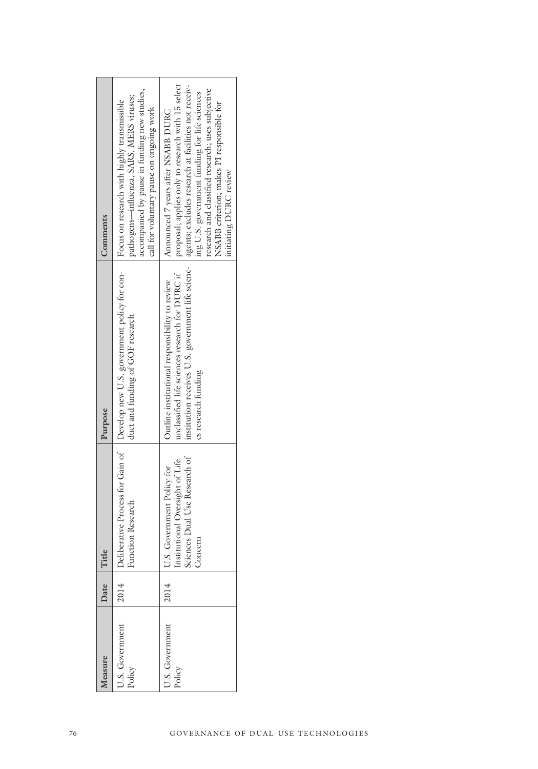| Comments | accompanied by pause in funding new studies,<br>pathogens-influenza, SARS, MERS viruses;<br>Focus on research with highly transmissible<br>call for voluntary pause on ongoing work | proposal; applies only to research with 15 select<br>agents; excludes research at facilities not receiv-<br>research and classified research; uses subjective<br>ing U.S. government funding for life sciences<br>NSABB criterion; makes PI responsible for<br>Announced 7 years after NSABB DURC<br>initiating DURC review |  |
|----------|-------------------------------------------------------------------------------------------------------------------------------------------------------------------------------------|-----------------------------------------------------------------------------------------------------------------------------------------------------------------------------------------------------------------------------------------------------------------------------------------------------------------------------|--|
| Purpose  | Develop new U.S. government policy for con-<br>duct and funding of GOF research                                                                                                     | institution receives U.S. government life scienc-<br>unclassified life sciences research for DURC if<br>Outline institutional responsibility to review<br>es research funding                                                                                                                                               |  |
| Title    | Deliberative Process for Gain of<br><b>Function Research</b>                                                                                                                        | U.S. Government Policy for<br>Institutional Oversight of Life<br>Sciences Dual Use Research of<br>Concern                                                                                                                                                                                                                   |  |
| Date     | 2014                                                                                                                                                                                | 2014                                                                                                                                                                                                                                                                                                                        |  |
| Measure  | U.S. Government<br>Policy                                                                                                                                                           | U.S. Government<br>Policy                                                                                                                                                                                                                                                                                                   |  |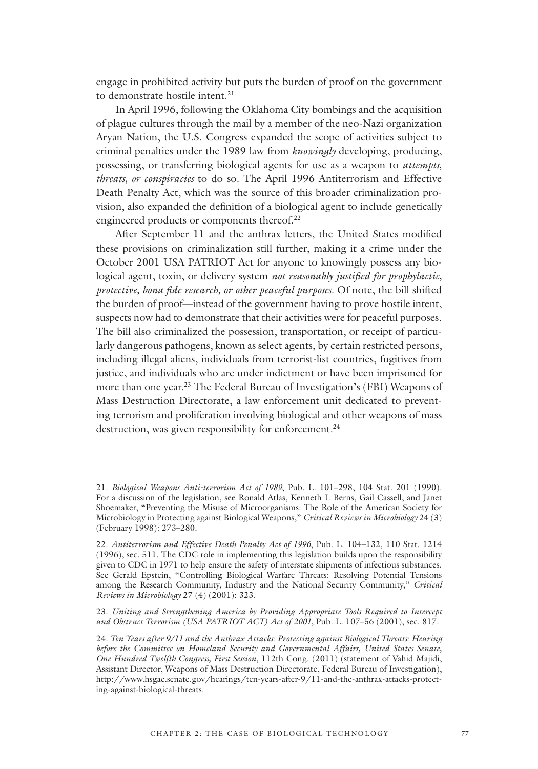engage in prohibited activity but puts the burden of proof on the government to demonstrate hostile intent.<sup>21</sup>

In April 1996, following the Oklahoma City bombings and the acquisition of plague cultures through the mail by a member of the neo-Nazi organization Aryan Nation, the U.S. Congress expanded the scope of activities subject to criminal penalties under the 1989 law from *knowingly* developing, producing, possessing, or transferring biological agents for use as a weapon to *attempts, threats, or conspiracies* to do so. The April 1996 Antiterrorism and Effective Death Penalty Act, which was the source of this broader criminalization provision, also expanded the definition of a biological agent to include genetically engineered products or components thereof.<sup>22</sup>

After September 11 and the anthrax letters, the United States modified these provisions on criminalization still further, making it a crime under the October 2001 USA PATRIOT Act for anyone to knowingly possess any biological agent, toxin, or delivery system *not reasonably justified for prophylactic, protective, bona fide research, or other peaceful purposes*. Of note, the bill shifted the burden of proof—instead of the government having to prove hostile intent, suspects now had to demonstrate that their activities were for peaceful purposes. The bill also criminalized the possession, transportation, or receipt of particularly dangerous pathogens, known as select agents, by certain restricted persons, including illegal aliens, individuals from terrorist-list countries, fugitives from justice, and individuals who are under indictment or have been imprisoned for more than one year.<sup>23</sup> The Federal Bureau of Investigation's (FBI) Weapons of Mass Destruction Directorate, a law enforcement unit dedicated to preventing terrorism and proliferation involving biological and other weapons of mass destruction, was given responsibility for enforcement.<sup>24</sup>

<sup>21.</sup> *Biological Weapons Anti-terrorism Act of 1989*, Pub. L. 101–298, 104 Stat. 201 (1990). For a discussion of the legislation, see Ronald Atlas, Kenneth I. Berns, Gail Cassell, and Janet Shoemaker, "Preventing the Misuse of Microorganisms: The Role of the American Society for Microbiology in Protecting against Biological Weapons," *Critical Reviews in Microbiology* 24 (3) (February 1998): 273–280.

<sup>22.</sup> *Antiterrorism and Effective Death Penalty Act of 1996*, Pub. L. 104–132, 110 Stat. 1214 (1996), sec. 511. The CDC role in implementing this legislation builds upon the responsibility given to CDC in 1971 to help ensure the safety of interstate shipments of infectious substances. See Gerald Epstein, "Controlling Biological Warfare Threats: Resolving Potential Tensions among the Research Community, Industry and the National Security Community," *Critical Reviews in Microbiology* 27 (4) (2001): 323.

<sup>23.</sup> *Uniting and Strengthening America by Providing Appropriate Tools Required to Intercept and Obstruct Terrorism (USA PATRIOT ACT) Act of 2001*, Pub. L. 107–56 (2001), sec. 817.

<sup>24.</sup> *Ten Years after 9/11 and the Anthrax Attacks: Protecting against Biological Threats: Hearing before the Committee on Homeland Security and Governmental Affairs, United States Senate, One Hundred Twelfth Congress, First Session*, 112th Cong. (2011) (statement of Vahid Majidi, Assistant Director, Weapons of Mass Destruction Directorate, Federal Bureau of Investigation), http://www.hsgac.senate.gov/hearings/ten-years-after-9/11-and-the-anthrax-attacks-protecting-against-biological-threats.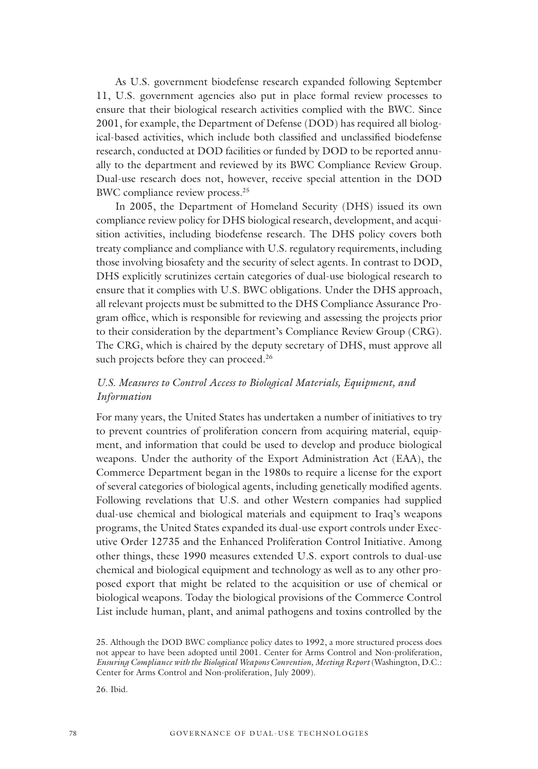As U.S. government biodefense research expanded following September 11, U.S. government agencies also put in place formal review processes to ensure that their biological research activities complied with the BWC. Since 2001, for example, the Department of Defense (DOD) has required all biological-based activities, which include both classified and unclassified biodefense research, conducted at DOD facilities or funded by DOD to be reported annually to the department and reviewed by its BWC Compliance Review Group. Dual-use research does not, however, receive special attention in the DOD BWC compliance review process.25

In 2005, the Department of Homeland Security (DHS) issued its own compliance review policy for DHS biological research, development, and acquisition activities, including biodefense research. The DHS policy covers both treaty compliance and compliance with U.S. regulatory requirements, including those involving biosafety and the security of select agents. In contrast to DOD, DHS explicitly scrutinizes certain categories of dual-use biological research to ensure that it complies with U.S. BWC obligations. Under the DHS approach, all relevant projects must be submitted to the DHS Compliance Assurance Program office, which is responsible for reviewing and assessing the projects prior to their consideration by the department's Compliance Review Group (CRG). The CRG, which is chaired by the deputy secretary of DHS, must approve all such projects before they can proceed.<sup>26</sup>

### *U.S. Measures to Control Access to Biological Materials, Equipment, and Information*

For many years, the United States has undertaken a number of initiatives to try to prevent countries of proliferation concern from acquiring material, equipment, and information that could be used to develop and produce biological weapons. Under the authority of the Export Administration Act (EAA), the Commerce Department began in the 1980s to require a license for the export of several categories of biological agents, including genetically modified agents. Following revelations that U.S. and other Western companies had supplied dual-use chemical and biological materials and equipment to Iraq's weapons programs, the United States expanded its dual-use export controls under Executive Order 12735 and the Enhanced Proliferation Control Initiative. Among other things, these 1990 measures extended U.S. export controls to dual-use chemical and biological equipment and technology as well as to any other proposed export that might be related to the acquisition or use of chemical or biological weapons. Today the biological provisions of the Commerce Control List include human, plant, and animal pathogens and toxins controlled by the

<sup>25.</sup> Although the DOD BWC compliance policy dates to 1992, a more structured process does not appear to have been adopted until 2001. Center for Arms Control and Non-proliferation, *Ensuring Compliance with the Biological Weapons Convention, Meeting Report* (Washington, D.C.: Center for Arms Control and Non-proliferation, July 2009).

<sup>26.</sup> Ibid.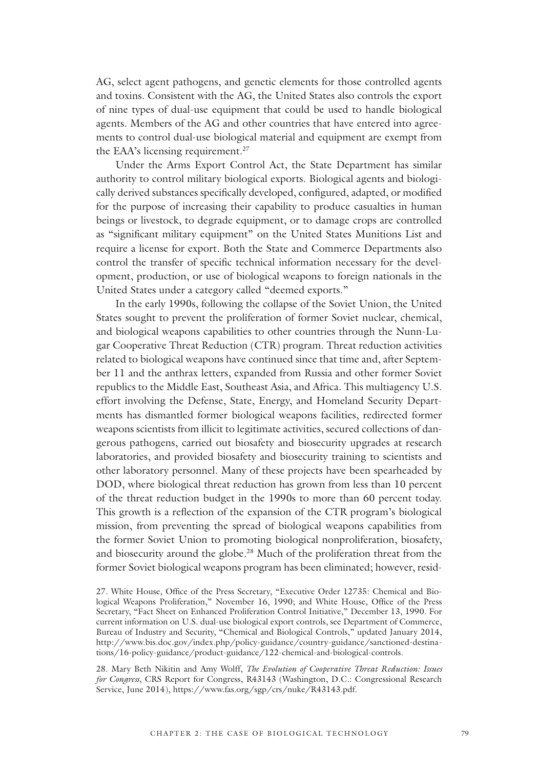AG, select agent pathogens, and genetic elements for those controlled agents and toxins. Consistent with the AG, the United States also controls the export of nine types of dual-use equipment that could be used to handle biological agents. Members of the AG and other countries that have entered into agreements to control dual-use biological material and equipment are exempt from the EAA's licensing requirement.<sup>27</sup>

Under the Arms Export Control Act, the State Department has similar authority to control military biological exports. Biological agents and biologically derived substances specifically developed, configured, adapted, or modified for the purpose of increasing their capability to produce casualties in human beings or livestock, to degrade equipment, or to damage crops are controlled as "significant military equipment" on the United States Munitions List and require a license for export. Both the State and Commerce Departments also control the transfer of specific technical information necessary for the development, production, or use of biological weapons to foreign nationals in the United States under a category called "deemed exports."

In the early 1990s, following the collapse of the Soviet Union, the United States sought to prevent the proliferation of former Soviet nuclear, chemical, and biological weapons capabilities to other countries through the Nunn-Lugar Cooperative Threat Reduction (CTR) program. Threat reduction activities related to biological weapons have continued since that time and, after September 11 and the anthrax letters, expanded from Russia and other former Soviet republics to the Middle East, Southeast Asia, and Africa. This multiagency U.S. effort involving the Defense, State, Energy, and Homeland Security Departments has dismantled former biological weapons facilities, redirected former weapons scientists from illicit to legitimate activities, secured collections of dangerous pathogens, carried out biosafety and biosecurity upgrades at research laboratories, and provided biosafety and biosecurity training to scientists and other laboratory personnel. Many of these projects have been spearheaded by DOD, where biological threat reduction has grown from less than 10 percent of the threat reduction budget in the 1990s to more than 60 percent today. This growth is a reflection of the expansion of the CTR program's biological mission, from preventing the spread of biological weapons capabilities from the former Soviet Union to promoting biological nonproliferation, biosafety, and biosecurity around the globe.<sup>28</sup> Much of the proliferation threat from the former Soviet biological weapons program has been eliminated; however, resid-

<sup>27.</sup> White House, Office of the Press Secretary, "Executive Order 12735: Chemical and Biological Weapons Proliferation," November 16, 1990; and White House, Office of the Press Secretary, "Fact Sheet on Enhanced Proliferation Control Initiative," December 13, 1990. For current information on U.S. dual-use biological export controls, see Department of Commerce, Bureau of Industry and Security, "Chemical and Biological Controls," updated January 2014, http://www.bis.doc.gov/index.php/policy-guidance/country-guidance/sanctioned-destinations/16-policy-guidance/product-guidance/122-chemical-and-biological-controls.

<sup>28.</sup> Mary Beth Nikitin and Amy Wolff, *The Evolution of Cooperative Threat Reduction: Issues for Congress*, CRS Report for Congress, R43143 (Washington, D.C.: Congressional Research Service, June 2014), https://www.fas.org/sgp/crs/nuke/R43143.pdf.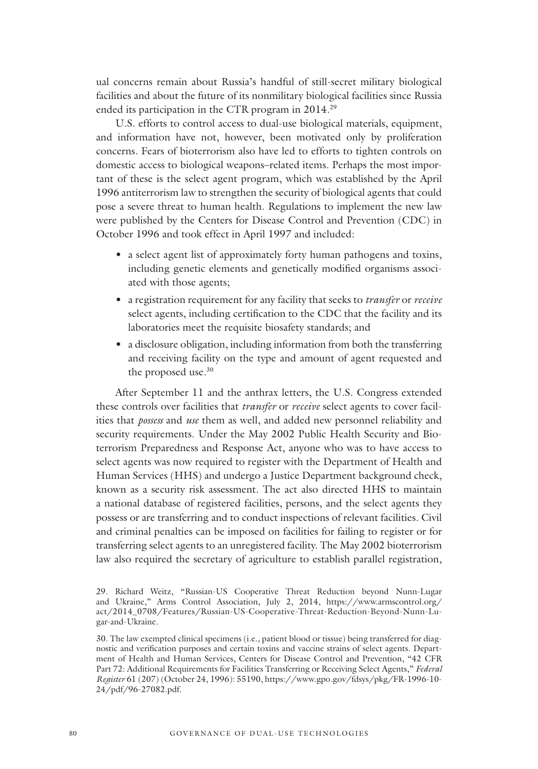ual concerns remain about Russia's handful of still-secret military biological facilities and about the future of its nonmilitary biological facilities since Russia ended its participation in the CTR program in 2014.<sup>29</sup>

U.S. efforts to control access to dual-use biological materials, equipment, and information have not, however, been motivated only by proliferation concerns. Fears of bioterrorism also have led to efforts to tighten controls on domestic access to biological weapons–related items. Perhaps the most important of these is the select agent program, which was established by the April 1996 antiterrorism law to strengthen the security of biological agents that could pose a severe threat to human health. Regulations to implement the new law were published by the Centers for Disease Control and Prevention (CDC) in October 1996 and took effect in April 1997 and included:

- a select agent list of approximately forty human pathogens and toxins, including genetic elements and genetically modified organisms associated with those agents;
- a registration requirement for any facility that seeks to *transfer* or *receive* select agents, including certification to the CDC that the facility and its laboratories meet the requisite biosafety standards; and
- a disclosure obligation, including information from both the transferring and receiving facility on the type and amount of agent requested and the proposed use.<sup>30</sup>

After September 11 and the anthrax letters, the U.S. Congress extended these controls over facilities that *transfer* or *receive* select agents to cover facilities that *possess* and *use* them as well, and added new personnel reliability and security requirements. Under the May 2002 Public Health Security and Bioterrorism Preparedness and Response Act, anyone who was to have access to select agents was now required to register with the Department of Health and Human Services (HHS) and undergo a Justice Department background check, known as a security risk assessment. The act also directed HHS to maintain a national database of registered facilities, persons, and the select agents they possess or are transferring and to conduct inspections of relevant facilities. Civil and criminal penalties can be imposed on facilities for failing to register or for transferring select agents to an unregistered facility. The May 2002 bioterrorism law also required the secretary of agriculture to establish parallel registration,

<sup>29.</sup> Richard Weitz, "Russian-US Cooperative Threat Reduction beyond Nunn-Lugar and Ukraine," Arms Control Association, July 2, 2014, https://www.armscontrol.org/ act/2014\_0708/Features/Russian-US-Cooperative-Threat-Reduction-Beyond-Nunn-Lugar-and-Ukraine.

<sup>30.</sup> The law exempted clinical specimens (i.e., patient blood or tissue) being transferred for diagnostic and verification purposes and certain toxins and vaccine strains of select agents. Department of Health and Human Services, Centers for Disease Control and Prevention, "42 CFR Part 72: Additional Requirements for Facilities Transferring or Receiving Select Agents," *Federal Register* 61 (207) (October 24, 1996): 55190, https://www.gpo.gov/fdsys/pkg/FR-1996-10- 24/pdf/96-27082.pdf.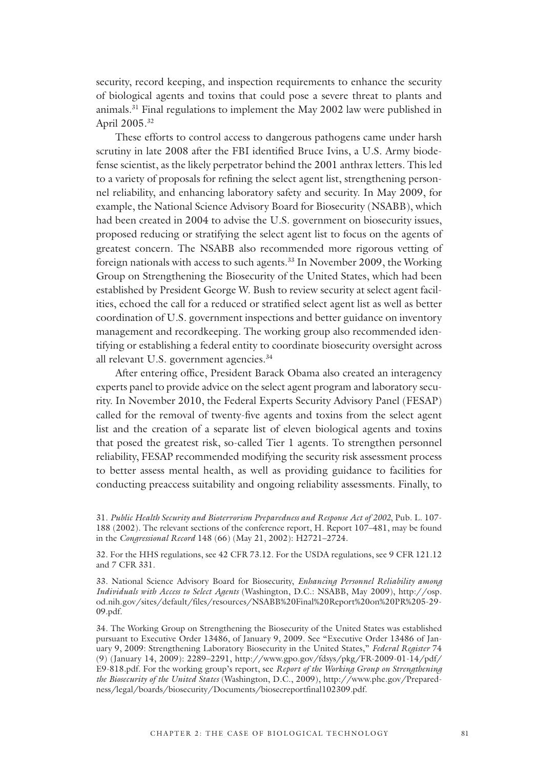security, record keeping, and inspection requirements to enhance the security of biological agents and toxins that could pose a severe threat to plants and animals.31 Final regulations to implement the May 2002 law were published in April 2005.32

These efforts to control access to dangerous pathogens came under harsh scrutiny in late 2008 after the FBI identified Bruce Ivins, a U.S. Army biodefense scientist, as the likely perpetrator behind the 2001 anthrax letters. This led to a variety of proposals for refining the select agent list, strengthening personnel reliability, and enhancing laboratory safety and security. In May 2009, for example, the National Science Advisory Board for Biosecurity (NSABB), which had been created in 2004 to advise the U.S. government on biosecurity issues, proposed reducing or stratifying the select agent list to focus on the agents of greatest concern. The NSABB also recommended more rigorous vetting of foreign nationals with access to such agents.<sup>33</sup> In November 2009, the Working Group on Strengthening the Biosecurity of the United States, which had been established by President George W. Bush to review security at select agent facilities, echoed the call for a reduced or stratified select agent list as well as better coordination of U.S. government inspections and better guidance on inventory management and recordkeeping. The working group also recommended identifying or establishing a federal entity to coordinate biosecurity oversight across all relevant U.S. government agencies.<sup>34</sup>

After entering office, President Barack Obama also created an interagency experts panel to provide advice on the select agent program and laboratory security. In November 2010, the Federal Experts Security Advisory Panel (FESAP) called for the removal of twenty-five agents and toxins from the select agent list and the creation of a separate list of eleven biological agents and toxins that posed the greatest risk, so-called Tier 1 agents. To strengthen personnel reliability, FESAP recommended modifying the security risk assessment process to better assess mental health, as well as providing guidance to facilities for conducting preaccess suitability and ongoing reliability assessments. Finally, to

32. For the HHS regulations, see 42 CFR 73.12. For the USDA regulations, see 9 CFR 121.12 and 7 CFR 331.

33. National Science Advisory Board for Biosecurity, *Enhancing Personnel Reliability among Individuals with Access to Select Agents* (Washington, D.C.: NSABB, May 2009), http://osp. od.nih.gov/sites/default/files/resources/NSABB%20Final%20Report%20on%20PR%205-29- 09.pdf.

34. The Working Group on Strengthening the Biosecurity of the United States was established pursuant to Executive Order 13486, of January 9, 2009. See "Executive Order 13486 of January 9, 2009: Strengthening Laboratory Biosecurity in the United States," *Federal Register* 74 (9) (January 14, 2009): 2289–2291, http://www.gpo.gov/fdsys/pkg/FR-2009-01-14/pdf/ E9-818.pdf. For the working group's report, see *Report of the Working Group on Strengthening the Biosecurity of the United States* (Washington, D.C., 2009), http://www.phe.gov/Preparedness/legal/boards/biosecurity/Documents/biosecreportfinal102309.pdf.

<sup>31.</sup> *Public Health Security and Bioterrorism Preparedness and Response Act of 2002*, Pub. L. 107- 188 (2002). The relevant sections of the conference report, H. Report 107–481, may be found in the *Congressional Record* 148 (66) (May 21, 2002): H2721–2724.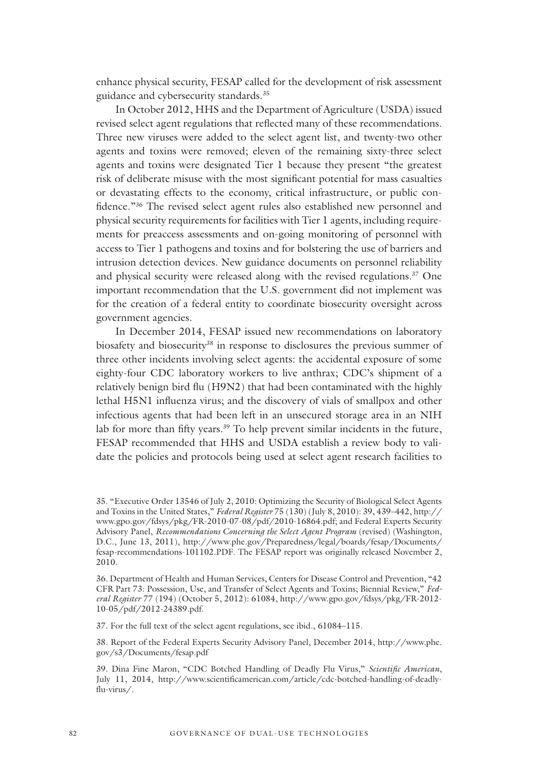enhance physical security, FESAP called for the development of risk assessment guidance and cybersecurity standards.35

In October 2012, HHS and the Department of Agriculture (USDA) issued revised select agent regulations that reflected many of these recommendations. Three new viruses were added to the select agent list, and twenty-two other agents and toxins were removed; eleven of the remaining sixty-three select agents and toxins were designated Tier 1 because they present "the greatest risk of deliberate misuse with the most significant potential for mass casualties or devastating effects to the economy, critical infrastructure, or public confidence."36 The revised select agent rules also established new personnel and physical security requirements for facilities with Tier 1 agents, including requirements for preaccess assessments and on-going monitoring of personnel with access to Tier 1 pathogens and toxins and for bolstering the use of barriers and intrusion detection devices. New guidance documents on personnel reliability and physical security were released along with the revised regulations.<sup>37</sup> One important recommendation that the U.S. government did not implement was for the creation of a federal entity to coordinate biosecurity oversight across government agencies.

In December 2014, FESAP issued new recommendations on laboratory biosafety and biosecurity<sup>38</sup> in response to disclosures the previous summer of three other incidents involving select agents: the accidental exposure of some eighty-four CDC laboratory workers to live anthrax; CDC's shipment of a relatively benign bird flu (H9N2) that had been contaminated with the highly lethal H5N1 influenza virus; and the discovery of vials of smallpox and other infectious agents that had been left in an unsecured storage area in an NIH lab for more than fifty years.<sup>39</sup> To help prevent similar incidents in the future, FESAP recommended that HHS and USDA establish a review body to validate the policies and protocols being used at select agent research facilities to

37. For the full text of the select agent regulations, see ibid., 61084–115.

38. Report of the Federal Experts Security Advisory Panel, December 2014, http://www.phe. gov/s3/Documents/fesap.pdf

<sup>35. &</sup>quot;Executive Order 13546 of July 2, 2010: Optimizing the Security of Biological Select Agents and Toxins in the United States," *Federal Register* 75 (130) (July 8, 2010): 39, 439–442, http:// www.gpo.gov/fdsys/pkg/FR-2010-07-08/pdf/2010-16864.pdf; and Federal Experts Security Advisory Panel, *Recommendations Concerning the Select Agent Program* (revised) (Washington, D.C., June 13, 2011), http://www.phe.gov/Preparedness/legal/boards/fesap/Documents/ fesap-recommendations-101102.PDF. The FESAP report was originally released November 2, 2010.

<sup>36.</sup> Department of Health and Human Services, Centers for Disease Control and Prevention, "42 CFR Part 73: Possession, Use, and Transfer of Select Agents and Toxins; Biennial Review," *Federal Register* 77 (194) (October 5, 2012): 61084, http://www.gpo.gov/fdsys/pkg/FR-2012- 10-05/pdf/2012-24389.pdf.

<sup>39.</sup> Dina Fine Maron, "CDC Botched Handling of Deadly Flu Virus," *Scientific American*, July 11, 2014, http://www.scientificamerican.com/article/cdc-botched-handling-of-deadlyflu-virus/.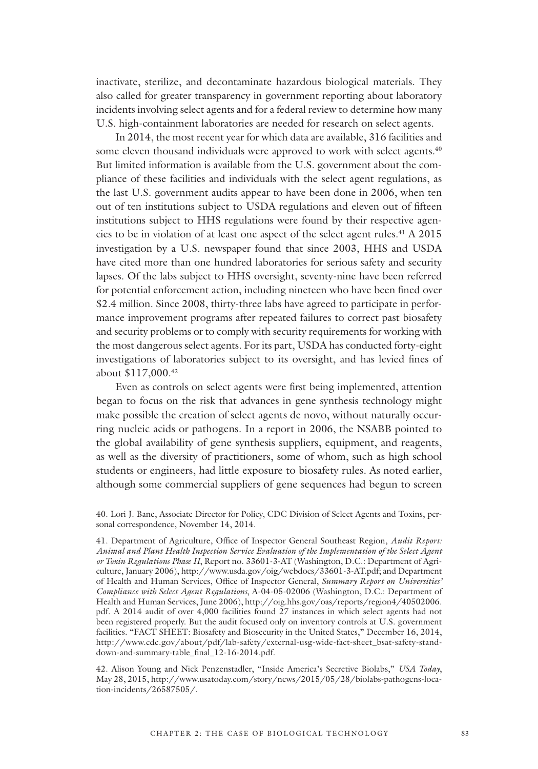inactivate, sterilize, and decontaminate hazardous biological materials. They also called for greater transparency in government reporting about laboratory incidents involving select agents and for a federal review to determine how many U.S. high-containment laboratories are needed for research on select agents.

In 2014, the most recent year for which data are available, 316 facilities and some eleven thousand individuals were approved to work with select agents.<sup>40</sup> But limited information is available from the U.S. government about the compliance of these facilities and individuals with the select agent regulations, as the last U.S. government audits appear to have been done in 2006, when ten out of ten institutions subject to USDA regulations and eleven out of fifteen institutions subject to HHS regulations were found by their respective agencies to be in violation of at least one aspect of the select agent rules.41 A 2015 investigation by a U.S. newspaper found that since 2003, HHS and USDA have cited more than one hundred laboratories for serious safety and security lapses. Of the labs subject to HHS oversight, seventy-nine have been referred for potential enforcement action, including nineteen who have been fined over \$2.4 million. Since 2008, thirty-three labs have agreed to participate in performance improvement programs after repeated failures to correct past biosafety and security problems or to comply with security requirements for working with the most dangerous select agents. For its part, USDA has conducted forty-eight investigations of laboratories subject to its oversight, and has levied fines of about \$117,000.42

Even as controls on select agents were first being implemented, attention began to focus on the risk that advances in gene synthesis technology might make possible the creation of select agents de novo, without naturally occurring nucleic acids or pathogens. In a report in 2006, the NSABB pointed to the global availability of gene synthesis suppliers, equipment, and reagents, as well as the diversity of practitioners, some of whom, such as high school students or engineers, had little exposure to biosafety rules. As noted earlier, although some commercial suppliers of gene sequences had begun to screen

<sup>40.</sup> Lori J. Bane, Associate Director for Policy, CDC Division of Select Agents and Toxins, personal correspondence, November 14, 2014.

<sup>41.</sup> Department of Agriculture, Office of Inspector General Southeast Region, *Audit Report: Animal and Plant Health Inspection Service Evaluation of the Implementation of the Select Agent or Toxin Regulations Phase II*, Report no. 33601-3-AT (Washington, D.C.: Department of Agriculture, January 2006), http://www.usda.gov/oig/webdocs/33601-3-AT.pdf; and Department of Health and Human Services, Office of Inspector General, *Summary Report on Universities' Compliance with Select Agent Regulations*, A-04-05-02006 (Washington, D.C.: Department of Health and Human Services, June 2006), http://oig.hhs.gov/oas/reports/region4/40502006. pdf. A 2014 audit of over 4,000 facilities found 27 instances in which select agents had not been registered properly. But the audit focused only on inventory controls at U.S. government facilities. "FACT SHEET: Biosafety and Biosecurity in the United States," December 16, 2014, http://www.cdc.gov/about/pdf/lab-safety/external-usg-wide-fact-sheet\_bsat-safety-standdown-and-summary-table\_final\_12-16-2014.pdf.

<sup>42.</sup> Alison Young and Nick Penzenstadler, "Inside America's Secretive Biolabs," *USA Today*, May 28, 2015, http://www.usatoday.com/story/news/2015/05/28/biolabs-pathogens-location-incidents/26587505/.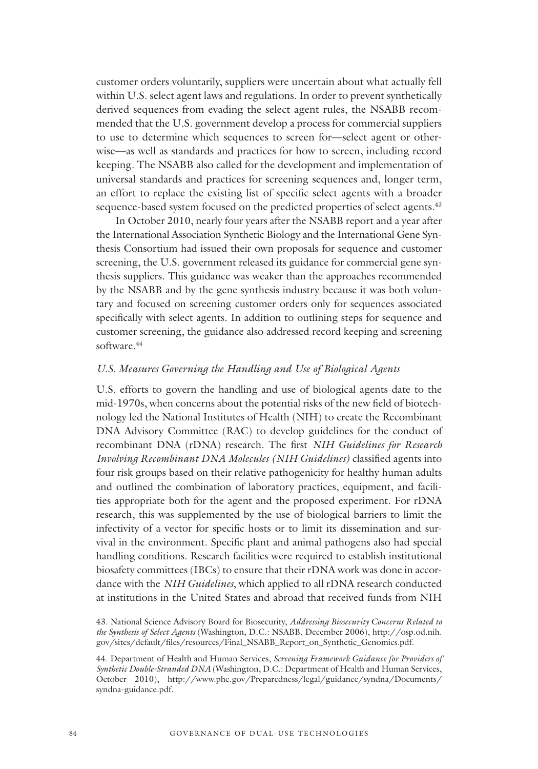customer orders voluntarily, suppliers were uncertain about what actually fell within U.S. select agent laws and regulations. In order to prevent synthetically derived sequences from evading the select agent rules, the NSABB recommended that the U.S. government develop a process for commercial suppliers to use to determine which sequences to screen for—select agent or otherwise—as well as standards and practices for how to screen, including record keeping. The NSABB also called for the development and implementation of universal standards and practices for screening sequences and, longer term, an effort to replace the existing list of specific select agents with a broader sequence-based system focused on the predicted properties of select agents.<sup>43</sup>

In October 2010, nearly four years after the NSABB report and a year after the International Association Synthetic Biology and the International Gene Synthesis Consortium had issued their own proposals for sequence and customer screening, the U.S. government released its guidance for commercial gene synthesis suppliers. This guidance was weaker than the approaches recommended by the NSABB and by the gene synthesis industry because it was both voluntary and focused on screening customer orders only for sequences associated specifically with select agents. In addition to outlining steps for sequence and customer screening, the guidance also addressed record keeping and screening software.44

#### *U.S. Measures Governing the Handling and Use of Biological Agents*

U.S. efforts to govern the handling and use of biological agents date to the mid-1970s, when concerns about the potential risks of the new field of biotechnology led the National Institutes of Health (NIH) to create the Recombinant DNA Advisory Committee (RAC) to develop guidelines for the conduct of recombinant DNA (rDNA) research. The first *NIH Guidelines for Research Involving Recombinant DNA Molecules (NIH Guidelines)* classified agents into four risk groups based on their relative pathogenicity for healthy human adults and outlined the combination of laboratory practices, equipment, and facilities appropriate both for the agent and the proposed experiment. For rDNA research, this was supplemented by the use of biological barriers to limit the infectivity of a vector for specific hosts or to limit its dissemination and survival in the environment. Specific plant and animal pathogens also had special handling conditions. Research facilities were required to establish institutional biosafety committees (IBCs) to ensure that their rDNA work was done in accordance with the *NIH Guidelines*, which applied to all rDNA research conducted at institutions in the United States and abroad that received funds from NIH

<sup>43.</sup> National Science Advisory Board for Biosecurity, *Addressing Biosecurity Concerns Related to the Synthesis of Select Agents* (Washington, D.C.: NSABB, December 2006), http://osp.od.nih. gov/sites/default/files/resources/Final\_NSABB\_Report\_on\_Synthetic\_Genomics.pdf.

<sup>44.</sup> Department of Health and Human Services, *Screening Framework Guidance for Providers of Synthetic Double-Stranded DNA* (Washington, D.C.: Department of Health and Human Services, October 2010), http://www.phe.gov/Preparedness/legal/guidance/syndna/Documents/ syndna-guidance.pdf.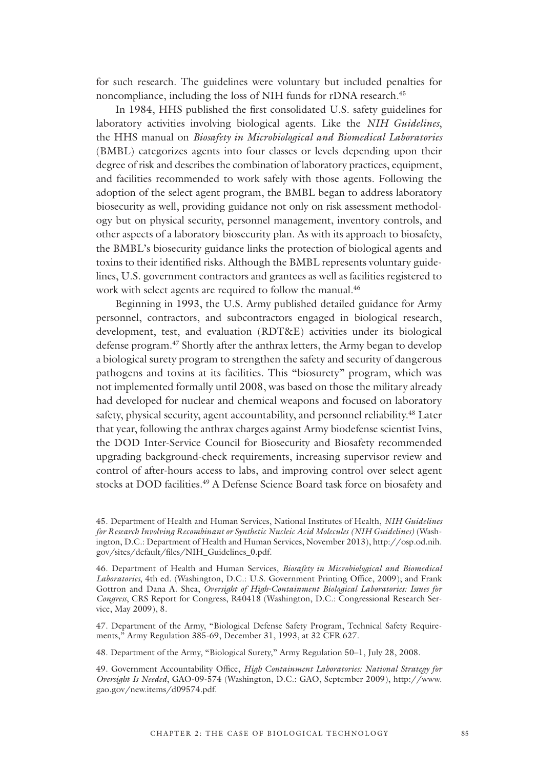for such research. The guidelines were voluntary but included penalties for noncompliance, including the loss of NIH funds for rDNA research.<sup>45</sup>

In 1984, HHS published the first consolidated U.S. safety guidelines for laboratory activities involving biological agents. Like the *NIH Guidelines*, the HHS manual on *Biosafety in Microbiological and Biomedical Laboratories* (BMBL) categorizes agents into four classes or levels depending upon their degree of risk and describes the combination of laboratory practices, equipment, and facilities recommended to work safely with those agents. Following the adoption of the select agent program, the BMBL began to address laboratory biosecurity as well, providing guidance not only on risk assessment methodology but on physical security, personnel management, inventory controls, and other aspects of a laboratory biosecurity plan. As with its approach to biosafety, the BMBL's biosecurity guidance links the protection of biological agents and toxins to their identified risks. Although the BMBL represents voluntary guidelines, U.S. government contractors and grantees as well as facilities registered to work with select agents are required to follow the manual.<sup>46</sup>

Beginning in 1993, the U.S. Army published detailed guidance for Army personnel, contractors, and subcontractors engaged in biological research, development, test, and evaluation (RDT&E) activities under its biological defense program.47 Shortly after the anthrax letters, the Army began to develop a biological surety program to strengthen the safety and security of dangerous pathogens and toxins at its facilities. This "biosurety" program, which was not implemented formally until 2008, was based on those the military already had developed for nuclear and chemical weapons and focused on laboratory safety, physical security, agent accountability, and personnel reliability.48 Later that year, following the anthrax charges against Army biodefense scientist Ivins, the DOD Inter-Service Council for Biosecurity and Biosafety recommended upgrading background-check requirements, increasing supervisor review and control of after-hours access to labs, and improving control over select agent stocks at DOD facilities.<sup>49</sup> A Defense Science Board task force on biosafety and

47. Department of the Army, "Biological Defense Safety Program, Technical Safety Requirements," Army Regulation 385-69, December 31, 1993, at 32 CFR 627.

48. Department of the Army, "Biological Surety," Army Regulation 50–1, July 28, 2008.

49. Government Accountability Office, *High Containment Laboratories: National Strategy for Oversight Is Needed*, GAO-09-574 (Washington, D.C.: GAO, September 2009), http://www. gao.gov/new.items/d09574.pdf.

<sup>45.</sup> Department of Health and Human Services, National Institutes of Health, *NIH Guidelines for Research Involving Recombinant or Synthetic Nucleic Acid Molecules (NIH Guidelines)* (Washington, D.C.: Department of Health and Human Services, November 2013), http://osp.od.nih. gov/sites/default/files/NIH\_Guidelines\_0.pdf.

<sup>46.</sup> Department of Health and Human Services, *Biosafety in Microbiological and Biomedical Laboratories*, 4th ed. (Washington, D.C.: U.S. Government Printing Office, 2009); and Frank Gottron and Dana A. Shea, *Oversight of High-Containment Biological Laboratories: Issues for Congress*, CRS Report for Congress, R40418 (Washington, D.C.: Congressional Research Service, May 2009), 8.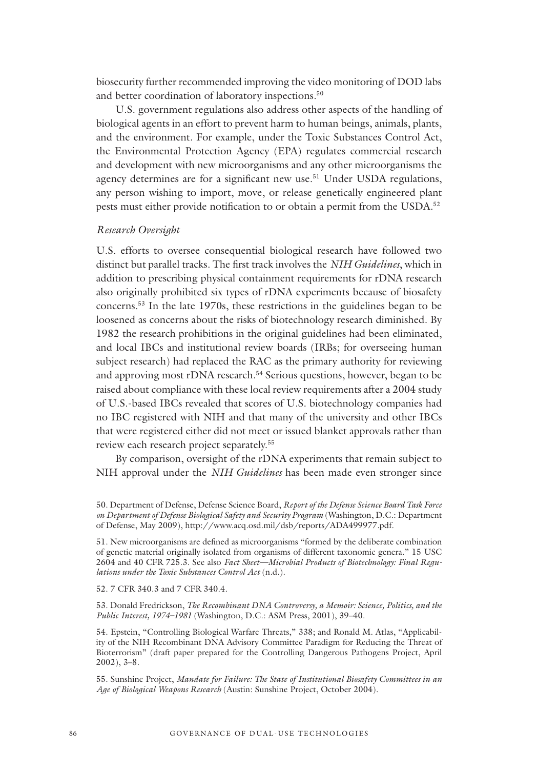biosecurity further recommended improving the video monitoring of DOD labs and better coordination of laboratory inspections.<sup>50</sup>

U.S. government regulations also address other aspects of the handling of biological agents in an effort to prevent harm to human beings, animals, plants, and the environment. For example, under the Toxic Substances Control Act, the Environmental Protection Agency (EPA) regulates commercial research and development with new microorganisms and any other microorganisms the agency determines are for a significant new use.<sup>51</sup> Under USDA regulations, any person wishing to import, move, or release genetically engineered plant pests must either provide notification to or obtain a permit from the USDA.<sup>52</sup>

#### *Research Oversight*

U.S. efforts to oversee consequential biological research have followed two distinct but parallel tracks. The first track involves the *NIH Guidelines*, which in addition to prescribing physical containment requirements for rDNA research also originally prohibited six types of rDNA experiments because of biosafety concerns.53 In the late 1970s, these restrictions in the guidelines began to be loosened as concerns about the risks of biotechnology research diminished. By 1982 the research prohibitions in the original guidelines had been eliminated, and local IBCs and institutional review boards (IRBs; for overseeing human subject research) had replaced the RAC as the primary authority for reviewing and approving most rDNA research.<sup>54</sup> Serious questions, however, began to be raised about compliance with these local review requirements after a 2004 study of U.S.-based IBCs revealed that scores of U.S. biotechnology companies had no IBC registered with NIH and that many of the university and other IBCs that were registered either did not meet or issued blanket approvals rather than review each research project separately.55

By comparison, oversight of the rDNA experiments that remain subject to NIH approval under the *NIH Guidelines* has been made even stronger since

52. 7 CFR 340.3 and 7 CFR 340.4.

53. Donald Fredrickson, *The Recombinant DNA Controversy, a Memoir: Science, Politics, and the Public Interest, 1974–1981* (Washington, D.C.: ASM Press, 2001), 39–40.

54. Epstein, "Controlling Biological Warfare Threats," 338; and Ronald M. Atlas, "Applicability of the NIH Recombinant DNA Advisory Committee Paradigm for Reducing the Threat of Bioterrorism" (draft paper prepared for the Controlling Dangerous Pathogens Project, April 2002), 3–8.

55. Sunshine Project, *Mandate for Failure: The State of Institutional Biosafety Committees in an Age of Biological Weapons Research* (Austin: Sunshine Project, October 2004).

<sup>50.</sup> Department of Defense, Defense Science Board, *Report of the Defense Science Board Task Force on Department of Defense Biological Safety and Security Program* (Washington, D.C.: Department of Defense, May 2009), http://www.acq.osd.mil/dsb/reports/ADA499977.pdf.

<sup>51.</sup> New microorganisms are defined as microorganisms "formed by the deliberate combination of genetic material originally isolated from organisms of different taxonomic genera." 15 USC 2604 and 40 CFR 725.3. See also *Fact Sheet—Microbial Products of Biotechnology: Final Regulations under the Toxic Substances Control Act* (n.d.).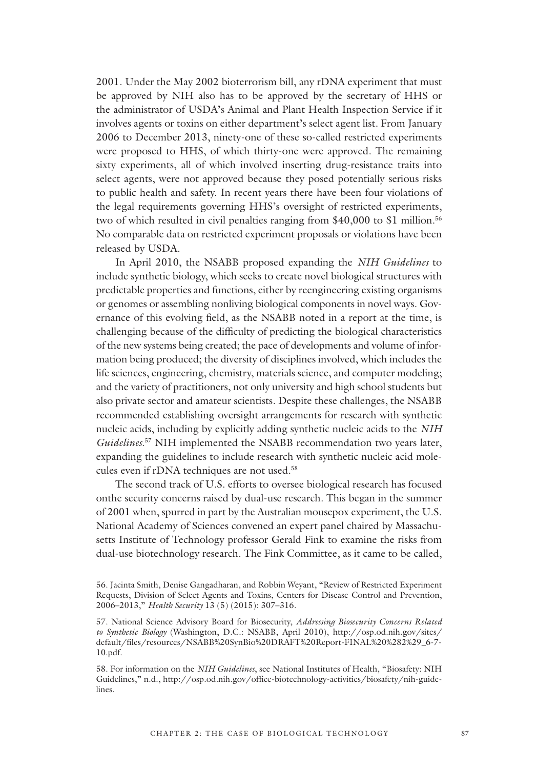2001. Under the May 2002 bioterrorism bill, any rDNA experiment that must be approved by NIH also has to be approved by the secretary of HHS or the administrator of USDA's Animal and Plant Health Inspection Service if it involves agents or toxins on either department's select agent list. From January 2006 to December 2013, ninety-one of these so-called restricted experiments were proposed to HHS, of which thirty-one were approved. The remaining sixty experiments, all of which involved inserting drug-resistance traits into select agents, were not approved because they posed potentially serious risks to public health and safety. In recent years there have been four violations of the legal requirements governing HHS's oversight of restricted experiments, two of which resulted in civil penalties ranging from \$40,000 to \$1 million.56 No comparable data on restricted experiment proposals or violations have been released by USDA.

In April 2010, the NSABB proposed expanding the *NIH Guidelines* to include synthetic biology, which seeks to create novel biological structures with predictable properties and functions, either by reengineering existing organisms or genomes or assembling nonliving biological components in novel ways. Governance of this evolving field, as the NSABB noted in a report at the time, is challenging because of the difficulty of predicting the biological characteristics of the new systems being created; the pace of developments and volume of information being produced; the diversity of disciplines involved, which includes the life sciences, engineering, chemistry, materials science, and computer modeling; and the variety of practitioners, not only university and high school students but also private sector and amateur scientists. Despite these challenges, the NSABB recommended establishing oversight arrangements for research with synthetic nucleic acids, including by explicitly adding synthetic nucleic acids to the *NIH Guidelines*. 57 NIH implemented the NSABB recommendation two years later, expanding the guidelines to include research with synthetic nucleic acid molecules even if rDNA techniques are not used.58

The second track of U.S. efforts to oversee biological research has focused onthe security concerns raised by dual-use research. This began in the summer of 2001 when, spurred in part by the Australian mousepox experiment, the U.S. National Academy of Sciences convened an expert panel chaired by Massachusetts Institute of Technology professor Gerald Fink to examine the risks from dual-use biotechnology research. The Fink Committee, as it came to be called,

<sup>56.</sup> Jacinta Smith, Denise Gangadharan, and Robbin Weyant, "Review of Restricted Experiment Requests, Division of Select Agents and Toxins, Centers for Disease Control and Prevention, 2006–2013," *Health Security* 13 (5) (2015): 307–316.

<sup>57.</sup> National Science Advisory Board for Biosecurity, *Addressing Biosecurity Concerns Related to Synthetic Biology* (Washington, D.C.: NSABB, April 2010), http://osp.od.nih.gov/sites/ default/files/resources/NSABB%20SynBio%20DRAFT%20Report-FINAL%20%282%29\_6-7- 10.pdf.

<sup>58.</sup> For information on the *NIH Guidelines*, see National Institutes of Health, "Biosafety: NIH Guidelines," n.d., http://osp.od.nih.gov/office-biotechnology-activities/biosafety/nih-guidelines.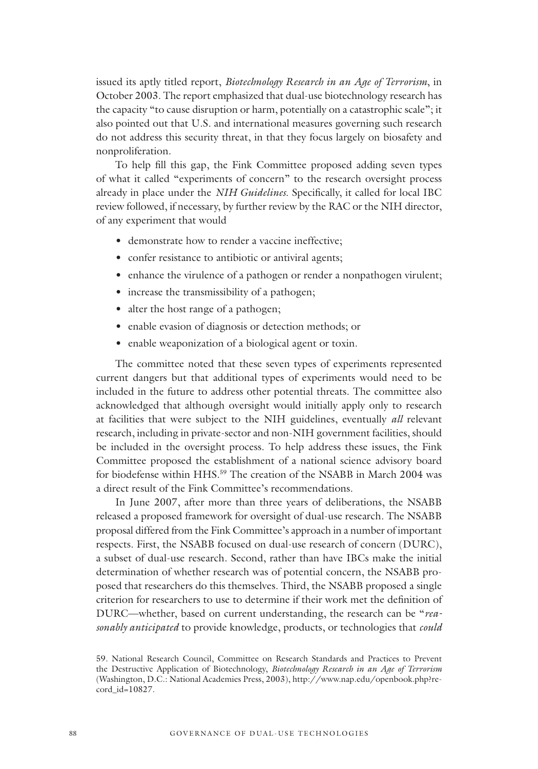issued its aptly titled report, *Biotechnology Research in an Age of Terrorism*, in October 2003. The report emphasized that dual-use biotechnology research has the capacity "to cause disruption or harm, potentially on a catastrophic scale"; it also pointed out that U.S. and international measures governing such research do not address this security threat, in that they focus largely on biosafety and nonproliferation.

To help fill this gap, the Fink Committee proposed adding seven types of what it called "experiments of concern" to the research oversight process already in place under the *NIH Guidelines*. Specifically, it called for local IBC review followed, if necessary, by further review by the RAC or the NIH director, of any experiment that would

- demonstrate how to render a vaccine ineffective;
- confer resistance to antibiotic or antiviral agents;
- enhance the virulence of a pathogen or render a nonpathogen virulent;
- increase the transmissibility of a pathogen;
- alter the host range of a pathogen;
- enable evasion of diagnosis or detection methods; or
- enable weaponization of a biological agent or toxin.

The committee noted that these seven types of experiments represented current dangers but that additional types of experiments would need to be included in the future to address other potential threats. The committee also acknowledged that although oversight would initially apply only to research at facilities that were subject to the NIH guidelines, eventually *all* relevant research, including in private-sector and non-NIH government facilities, should be included in the oversight process. To help address these issues, the Fink Committee proposed the establishment of a national science advisory board for biodefense within HHS.<sup>59</sup> The creation of the NSABB in March 2004 was a direct result of the Fink Committee's recommendations.

In June 2007, after more than three years of deliberations, the NSABB released a proposed framework for oversight of dual-use research. The NSABB proposal differed from the Fink Committee's approach in a number of important respects. First, the NSABB focused on dual-use research of concern (DURC), a subset of dual-use research. Second, rather than have IBCs make the initial determination of whether research was of potential concern, the NSABB proposed that researchers do this themselves. Third, the NSABB proposed a single criterion for researchers to use to determine if their work met the definition of DURC—whether, based on current understanding, the research can be "*reasonably anticipated* to provide knowledge, products, or technologies that *could*

<sup>59.</sup> National Research Council, Committee on Research Standards and Practices to Prevent the Destructive Application of Biotechnology, *Biotechnology Research in an Age of Terrorism*  (Washington, D.C.: National Academies Press, 2003), http://www.nap.edu/openbook.php?record\_id=10827.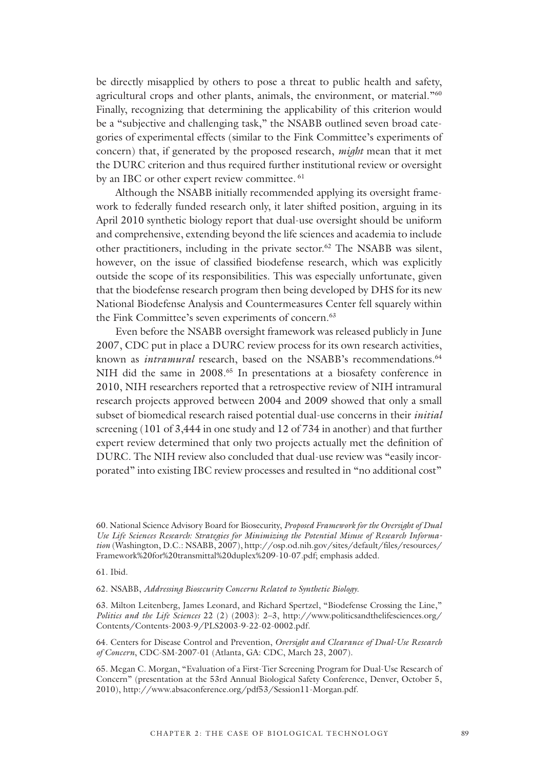be directly misapplied by others to pose a threat to public health and safety, agricultural crops and other plants, animals, the environment, or material."<sup>60</sup> Finally, recognizing that determining the applicability of this criterion would be a "subjective and challenging task," the NSABB outlined seven broad categories of experimental effects (similar to the Fink Committee's experiments of concern) that, if generated by the proposed research, *might* mean that it met the DURC criterion and thus required further institutional review or oversight by an IBC or other expert review committee. <sup>61</sup>

Although the NSABB initially recommended applying its oversight framework to federally funded research only, it later shifted position, arguing in its April 2010 synthetic biology report that dual-use oversight should be uniform and comprehensive, extending beyond the life sciences and academia to include other practitioners, including in the private sector.62 The NSABB was silent, however, on the issue of classified biodefense research, which was explicitly outside the scope of its responsibilities. This was especially unfortunate, given that the biodefense research program then being developed by DHS for its new National Biodefense Analysis and Countermeasures Center fell squarely within the Fink Committee's seven experiments of concern.<sup>63</sup>

Even before the NSABB oversight framework was released publicly in June 2007, CDC put in place a DURC review process for its own research activities, known as *intramural* research, based on the NSABB's recommendations.<sup>64</sup> NIH did the same in 2008.<sup>65</sup> In presentations at a biosafety conference in 2010, NIH researchers reported that a retrospective review of NIH intramural research projects approved between 2004 and 2009 showed that only a small subset of biomedical research raised potential dual-use concerns in their *initial* screening (101 of 3,444 in one study and 12 of 734 in another) and that further expert review determined that only two projects actually met the definition of DURC. The NIH review also concluded that dual-use review was "easily incorporated" into existing IBC review processes and resulted in "no additional cost"

61. Ibid.

62. NSABB, *Addressing Biosecurity Concerns Related to Synthetic Biology*.

63. Milton Leitenberg, James Leonard, and Richard Spertzel, "Biodefense Crossing the Line," *Politics and the Life Sciences* 22 (2) (2003): 2–3, http://www.politicsandthelifesciences.org/ Contents/Contents-2003-9/PLS2003-9-22-02-0002.pdf.

64. Centers for Disease Control and Prevention, *Oversight and Clearance of Dual-Use Research of Concern*, CDC-SM-2007-01 (Atlanta, GA: CDC, March 23, 2007).

<sup>60.</sup> National Science Advisory Board for Biosecurity, *Proposed Framework for the Oversight of Dual Use Life Sciences Research: Strategies for Minimizing the Potential Misuse of Research Information* (Washington, D.C.: NSABB, 2007), http://osp.od.nih.gov/sites/default/files/resources/ Framework%20for%20transmittal%20duplex%209-10-07.pdf; emphasis added.

<sup>65.</sup> Megan C. Morgan, "Evaluation of a First-Tier Screening Program for Dual-Use Research of Concern" (presentation at the 53rd Annual Biological Safety Conference, Denver, October 5, 2010), http://www.absaconference.org/pdf53/Session11-Morgan.pdf.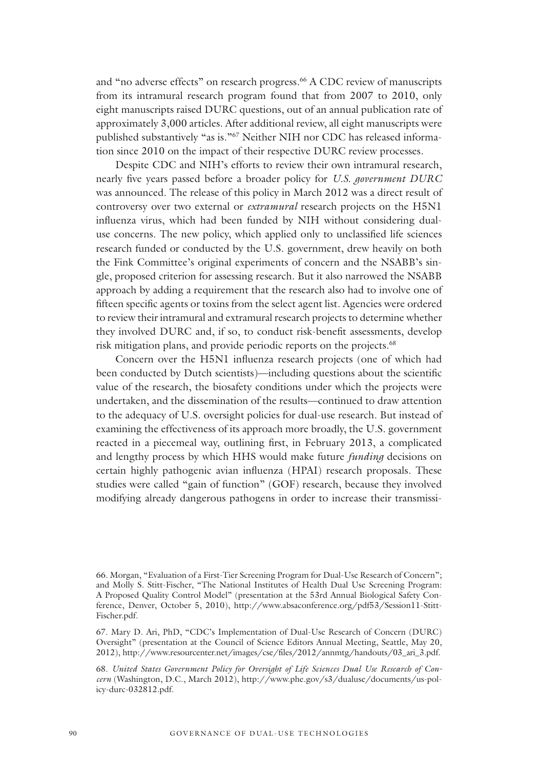and "no adverse effects" on research progress.<sup>66</sup> A CDC review of manuscripts from its intramural research program found that from 2007 to 2010, only eight manuscripts raised DURC questions, out of an annual publication rate of approximately 3,000 articles. After additional review, all eight manuscripts were published substantively "as is."<sup>67</sup> Neither NIH nor CDC has released information since 2010 on the impact of their respective DURC review processes.

Despite CDC and NIH's efforts to review their own intramural research, nearly five years passed before a broader policy for *U.S. government DURC* was announced. The release of this policy in March 2012 was a direct result of controversy over two external or *extramural* research projects on the H5N1 influenza virus, which had been funded by NIH without considering dualuse concerns. The new policy, which applied only to unclassified life sciences research funded or conducted by the U.S. government, drew heavily on both the Fink Committee's original experiments of concern and the NSABB's single, proposed criterion for assessing research. But it also narrowed the NSABB approach by adding a requirement that the research also had to involve one of fifteen specific agents or toxins from the select agent list. Agencies were ordered to review their intramural and extramural research projects to determine whether they involved DURC and, if so, to conduct risk-benefit assessments, develop risk mitigation plans, and provide periodic reports on the projects.<sup>68</sup>

Concern over the H5N1 influenza research projects (one of which had been conducted by Dutch scientists)—including questions about the scientific value of the research, the biosafety conditions under which the projects were undertaken, and the dissemination of the results—continued to draw attention to the adequacy of U.S. oversight policies for dual-use research. But instead of examining the effectiveness of its approach more broadly, the U.S. government reacted in a piecemeal way, outlining first, in February 2013, a complicated and lengthy process by which HHS would make future *funding* decisions on certain highly pathogenic avian influenza (HPAI) research proposals. These studies were called "gain of function" (GOF) research, because they involved modifying already dangerous pathogens in order to increase their transmissi-

<sup>66.</sup> Morgan, "Evaluation of a First-Tier Screening Program for Dual-Use Research of Concern"; and Molly S. Stitt-Fischer, "The National Institutes of Health Dual Use Screening Program: A Proposed Quality Control Model" (presentation at the 53rd Annual Biological Safety Conference, Denver, October 5, 2010), http://www.absaconference.org/pdf53/Session11-Stitt-Fischer.pdf.

<sup>67.</sup> Mary D. Ari, PhD, "CDC's Implementation of Dual-Use Research of Concern (DURC) Oversight" (presentation at the Council of Science Editors Annual Meeting, Seattle, May 20, 2012), http://www.resourcenter.net/images/cse/files/2012/annmtg/handouts/03\_ari\_3.pdf.

<sup>68.</sup> *United States Government Policy for Oversight of Life Sciences Dual Use Research of Concern* (Washington, D.C., March 2012), http://www.phe.gov/s3/dualuse/documents/us-policy-durc-032812.pdf.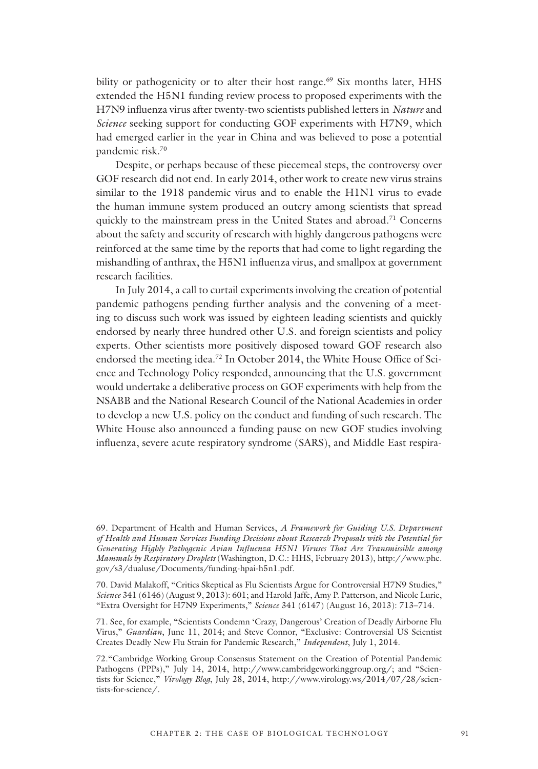bility or pathogenicity or to alter their host range.<sup>69</sup> Six months later, HHS extended the H5N1 funding review process to proposed experiments with the H7N9 influenza virus after twenty-two scientists published letters in *Nature* and *Science* seeking support for conducting GOF experiments with H7N9, which had emerged earlier in the year in China and was believed to pose a potential pandemic risk.70

Despite, or perhaps because of these piecemeal steps, the controversy over GOF research did not end. In early 2014, other work to create new virus strains similar to the 1918 pandemic virus and to enable the H1N1 virus to evade the human immune system produced an outcry among scientists that spread quickly to the mainstream press in the United States and abroad.<sup>71</sup> Concerns about the safety and security of research with highly dangerous pathogens were reinforced at the same time by the reports that had come to light regarding the mishandling of anthrax, the H5N1 influenza virus, and smallpox at government research facilities.

In July 2014, a call to curtail experiments involving the creation of potential pandemic pathogens pending further analysis and the convening of a meeting to discuss such work was issued by eighteen leading scientists and quickly endorsed by nearly three hundred other U.S. and foreign scientists and policy experts. Other scientists more positively disposed toward GOF research also endorsed the meeting idea.<sup>72</sup> In October 2014, the White House Office of Science and Technology Policy responded, announcing that the U.S. government would undertake a deliberative process on GOF experiments with help from the NSABB and the National Research Council of the National Academies in order to develop a new U.S. policy on the conduct and funding of such research. The White House also announced a funding pause on new GOF studies involving influenza, severe acute respiratory syndrome (SARS), and Middle East respira-

70. David Malakoff, "Critics Skeptical as Flu Scientists Argue for Controversial H7N9 Studies," *Science* 341 (6146) (August 9, 2013): 601; and Harold Jaffe, Amy P. Patterson, and Nicole Lurie, "Extra Oversight for H7N9 Experiments," *Science* 341 (6147) (August 16, 2013): 713–714.

71. See, for example, "Scientists Condemn 'Crazy, Dangerous' Creation of Deadly Airborne Flu Virus," *Guardian*, June 11, 2014; and Steve Connor, "Exclusive: Controversial US Scientist Creates Deadly New Flu Strain for Pandemic Research," *Independent*, July 1, 2014.

<sup>69.</sup> Department of Health and Human Services, *A Framework for Guiding U.S. Department of Health and Human Services Funding Decisions about Research Proposals with the Potential for Generating Highly Pathogenic Avian Influenza H5N1 Viruses That Are Transmissible among Mammals by Respiratory Droplets* (Washington, D.C.: HHS, February 2013), http://www.phe. gov/s3/dualuse/Documents/funding-hpai-h5n1.pdf.

<sup>72.&</sup>quot;Cambridge Working Group Consensus Statement on the Creation of Potential Pandemic Pathogens (PPPs)," July 14, 2014, http://www.cambridgeworkinggroup.org/; and "Scientists for Science," *Virology Blog*, July 28, 2014, http://www.virology.ws/2014/07/28/scientists-for-science/.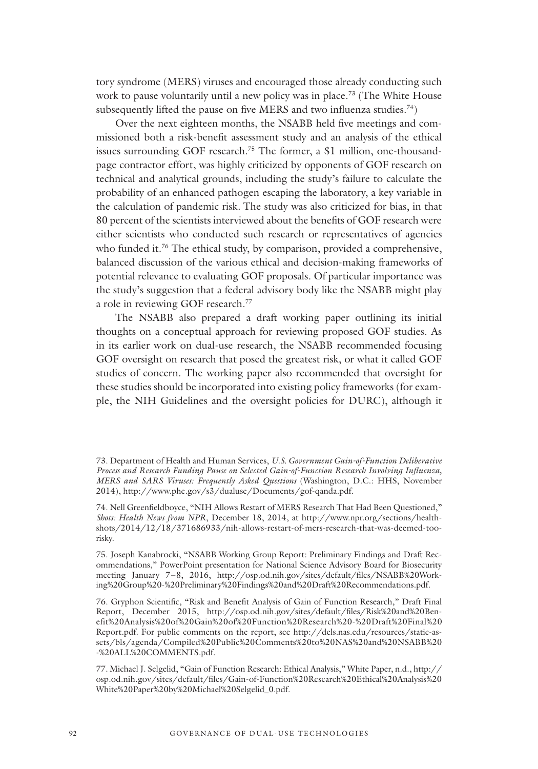tory syndrome (MERS) viruses and encouraged those already conducting such work to pause voluntarily until a new policy was in place.73 (The White House subsequently lifted the pause on five MERS and two influenza studies.<sup>74</sup>)

Over the next eighteen months, the NSABB held five meetings and commissioned both a risk-benefit assessment study and an analysis of the ethical issues surrounding GOF research.<sup>75</sup> The former, a \$1 million, one-thousandpage contractor effort, was highly criticized by opponents of GOF research on technical and analytical grounds, including the study's failure to calculate the probability of an enhanced pathogen escaping the laboratory, a key variable in the calculation of pandemic risk*.* The study was also criticized for bias, in that 80 percent of the scientists interviewed about the benefits of GOF research were either scientists who conducted such research or representatives of agencies who funded it.<sup>76</sup> The ethical study, by comparison, provided a comprehensive, balanced discussion of the various ethical and decision-making frameworks of potential relevance to evaluating GOF proposals. Of particular importance was the study's suggestion that a federal advisory body like the NSABB might play a role in reviewing GOF research.77

The NSABB also prepared a draft working paper outlining its initial thoughts on a conceptual approach for reviewing proposed GOF studies. As in its earlier work on dual-use research, the NSABB recommended focusing GOF oversight on research that posed the greatest risk, or what it called GOF studies of concern. The working paper also recommended that oversight for these studies should be incorporated into existing policy frameworks (for example, the NIH Guidelines and the oversight policies for DURC), although it

<sup>73.</sup> Department of Health and Human Services, *U.S. Government Gain-of-Function Deliberative Process and Research Funding Pause on Selected Gain-of-Function Research Involving Influenza, MERS and SARS Viruses: Frequently Asked Questions* (Washington, D.C.: HHS, November 2014), http://www.phe.gov/s3/dualuse/Documents/gof-qanda.pdf.

<sup>74.</sup> Nell Greenfieldboyce, "NIH Allows Restart of MERS Research That Had Been Questioned," *Shots: Health News from NPR*, December 18, 2014, at http://www.npr.org/sections/healthshots/2014/12/18/371686933/nih-allows-restart-of-mers-research-that-was-deemed-toorisky.

<sup>75.</sup> Joseph Kanabrocki, "NSABB Working Group Report: Preliminary Findings and Draft Recommendations," PowerPoint presentation for National Science Advisory Board for Biosecurity meeting January 7–8, 2016, http://osp.od.nih.gov/sites/default/files/NSABB%20Working%20Group%20-%20Preliminary%20Findings%20and%20Draft%20Recommendations.pdf.

<sup>76.</sup> Gryphon Scientific, "Risk and Benefit Analysis of Gain of Function Research," Draft Final Report, December 2015, http://osp.od.nih.gov/sites/default/files/Risk%20and%20Benefit%20Analysis%20of%20Gain%20of%20Function%20Research%20-%20Draft%20Final%20 Report.pdf. For public comments on the report, see http://dels.nas.edu/resources/static-assets/bls/agenda/Compiled%20Public%20Comments%20to%20NAS%20and%20NSABB%20 -%20ALL%20COMMENTS.pdf.

<sup>77.</sup> Michael J. Selgelid, "Gain of Function Research: Ethical Analysis," White Paper, n.d., http:// osp.od.nih.gov/sites/default/files/Gain-of-Function%20Research%20Ethical%20Analysis%20 White%20Paper%20by%20Michael%20Selgelid\_0.pdf.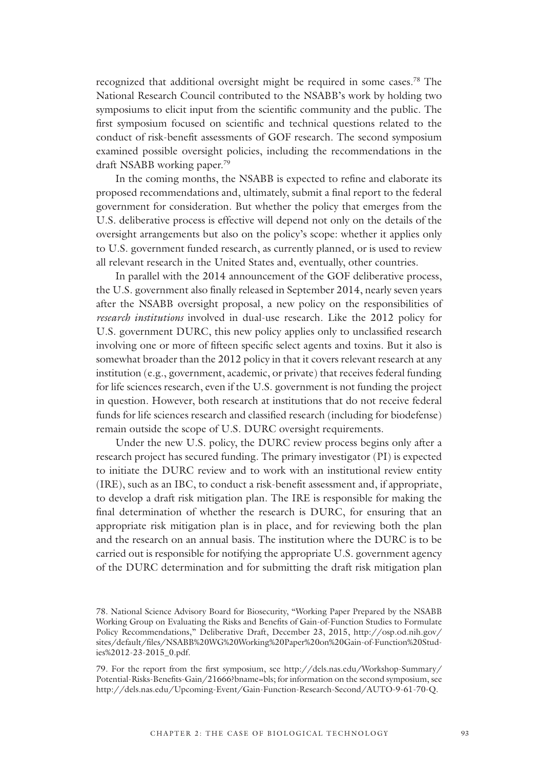recognized that additional oversight might be required in some cases.78 The National Research Council contributed to the NSABB's work by holding two symposiums to elicit input from the scientific community and the public. The first symposium focused on scientific and technical questions related to the conduct of risk-benefit assessments of GOF research. The second symposium examined possible oversight policies, including the recommendations in the draft NSABB working paper.79

In the coming months, the NSABB is expected to refine and elaborate its proposed recommendations and, ultimately, submit a final report to the federal government for consideration. But whether the policy that emerges from the U.S. deliberative process is effective will depend not only on the details of the oversight arrangements but also on the policy's scope: whether it applies only to U.S. government funded research, as currently planned, or is used to review all relevant research in the United States and, eventually, other countries.

In parallel with the 2014 announcement of the GOF deliberative process, the U.S. government also finally released in September 2014, nearly seven years after the NSABB oversight proposal, a new policy on the responsibilities of *research institutions* involved in dual-use research. Like the 2012 policy for U.S. government DURC, this new policy applies only to unclassified research involving one or more of fifteen specific select agents and toxins. But it also is somewhat broader than the 2012 policy in that it covers relevant research at any institution (e.g., government, academic, or private) that receives federal funding for life sciences research, even if the U.S. government is not funding the project in question. However, both research at institutions that do not receive federal funds for life sciences research and classified research (including for biodefense) remain outside the scope of U.S. DURC oversight requirements.

Under the new U.S. policy, the DURC review process begins only after a research project has secured funding. The primary investigator (PI) is expected to initiate the DURC review and to work with an institutional review entity (IRE), such as an IBC, to conduct a risk-benefit assessment and, if appropriate, to develop a draft risk mitigation plan. The IRE is responsible for making the final determination of whether the research is DURC, for ensuring that an appropriate risk mitigation plan is in place, and for reviewing both the plan and the research on an annual basis. The institution where the DURC is to be carried out is responsible for notifying the appropriate U.S. government agency of the DURC determination and for submitting the draft risk mitigation plan

<sup>78.</sup> National Science Advisory Board for Biosecurity, "Working Paper Prepared by the NSABB Working Group on Evaluating the Risks and Benefits of Gain-of-Function Studies to Formulate Policy Recommendations," Deliberative Draft, December 23, 2015, http://osp.od.nih.gov/ sites/default/files/NSABB%20WG%20Working%20Paper%20on%20Gain-of-Function%20Studies%2012-23-2015\_0.pdf.

<sup>79.</sup> For the report from the first symposium, see http://dels.nas.edu/Workshop-Summary/ Potential-Risks-Benefits-Gain/21666?bname=bls; for information on the second symposium, see http://dels.nas.edu/Upcoming-Event/Gain-Function-Research-Second/AUTO-9-61-70-Q.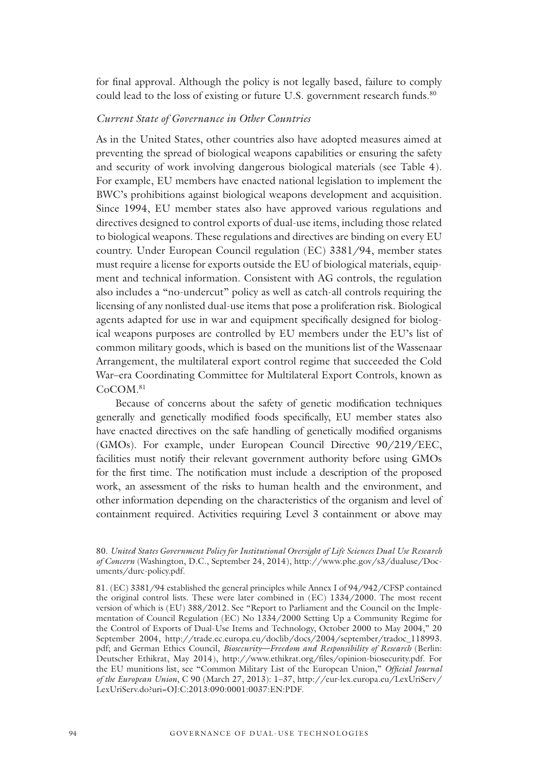for final approval. Although the policy is not legally based, failure to comply could lead to the loss of existing or future U.S. government research funds.<sup>80</sup>

#### *Current State of Governance in Other Countries*

As in the United States, other countries also have adopted measures aimed at preventing the spread of biological weapons capabilities or ensuring the safety and security of work involving dangerous biological materials (see Table 4). For example, EU members have enacted national legislation to implement the BWC's prohibitions against biological weapons development and acquisition. Since 1994, EU member states also have approved various regulations and directives designed to control exports of dual-use items, including those related to biological weapons. These regulations and directives are binding on every EU country. Under European Council regulation (EC) 3381/94, member states must require a license for exports outside the EU of biological materials, equipment and technical information. Consistent with AG controls, the regulation also includes a "no-undercut" policy as well as catch-all controls requiring the licensing of any nonlisted dual-use items that pose a proliferation risk. Biological agents adapted for use in war and equipment specifically designed for biological weapons purposes are controlled by EU members under the EU's list of common military goods, which is based on the munitions list of the Wassenaar Arrangement, the multilateral export control regime that succeeded the Cold War–era Coordinating Committee for Multilateral Export Controls, known as CoCOM.<sup>81</sup>

Because of concerns about the safety of genetic modification techniques generally and genetically modified foods specifically, EU member states also have enacted directives on the safe handling of genetically modified organisms (GMOs). For example, under European Council Directive 90/219/EEC, facilities must notify their relevant government authority before using GMOs for the first time. The notification must include a description of the proposed work, an assessment of the risks to human health and the environment, and other information depending on the characteristics of the organism and level of containment required. Activities requiring Level 3 containment or above may

<sup>80.</sup> *United States Government Policy for Institutional Oversight of Life Sciences Dual Use Research of Concern* (Washington, D.C., September 24, 2014), http://www.phe.gov/s3/dualuse/Documents/durc-policy.pdf.

<sup>81. (</sup>EC) 3381/94 established the general principles while Annex I of 94/942/CFSP contained the original control lists. These were later combined in (EC) 1334/2000. The most recent version of which is (EU) 388/2012. See "Report to Parliament and the Council on the Implementation of Council Regulation (EC) No 1334/2000 Setting Up a Community Regime for the Control of Exports of Dual-Use Items and Technology, October 2000 to May 2004," 20 September 2004, http://trade.ec.europa.eu/doclib/docs/2004/september/tradoc\_118993. pdf; and German Ethics Council, *Biosecurity—Freedom and Responsibility of Research* (Berlin: Deutscher Ethikrat, May 2014), http://www.ethikrat.org/files/opinion-biosecurity.pdf. For the EU munitions list, see "Common Military List of the European Union," *Official Journal of the European Union*, C 90 (March 27, 2013): 1–37, http://eur-lex.europa.eu/LexUriServ/ LexUriServ.do?uri=OJ:C:2013:090:0001:0037:EN:PDF.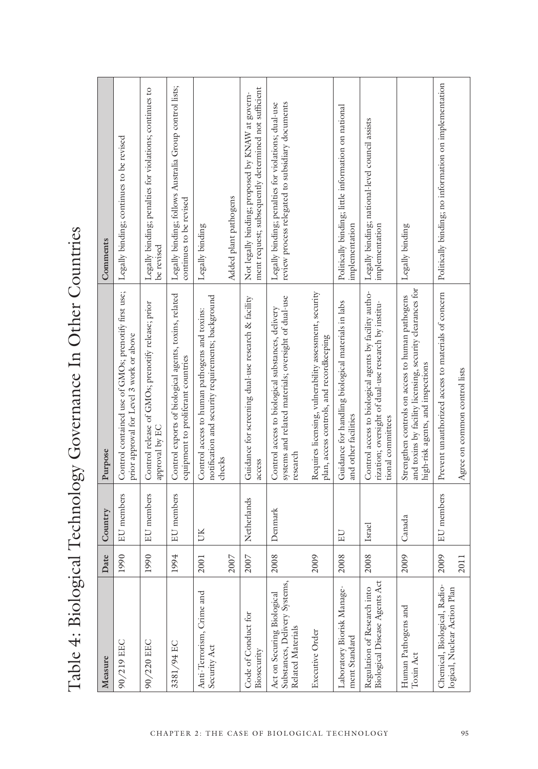Table 4: Biological Technology Governance In Other Countries Table 4: Biological Technology Governance In Other Countries

| Measure                                                                          | Date | Country           | Purpose                                                                                                                                            | Comments                                                                                                 |
|----------------------------------------------------------------------------------|------|-------------------|----------------------------------------------------------------------------------------------------------------------------------------------------|----------------------------------------------------------------------------------------------------------|
| 90/219 EEC                                                                       | 1990 | EU members        | Control contained use of GMOs; prenotify first use;<br>prior approval for Level 3 work or above                                                    | Legally binding; continues to be revised                                                                 |
| 90/220 EEC                                                                       | 1990 | EU members        | Control release of GMOs; prenotify release; prior<br>approval by EC                                                                                | Legally binding; penalties for violations; continues to<br>be revised                                    |
| 3381/94 EC                                                                       | 1994 | <b>EU</b> members | Control exports of biological agents, toxins, related<br>equipment to proliferant countries                                                        | Legally binding; follows Australia Group control lists;<br>continues to be revised                       |
| Anti-Terrorism, Crime and<br>Security Act                                        | 2001 | UK                | notification and security requirements; background<br>Control access to human pathogens and toxins:<br>checks                                      | Legally binding                                                                                          |
|                                                                                  | 2007 |                   |                                                                                                                                                    | Added plant pathogens                                                                                    |
| Code of Conduct for<br>Biosecurity                                               | 2007 | Netherlands       | Guidance for screening dual-use research & facility<br>access                                                                                      | ment request; subsequently determined not sufficient<br>Not legally binding; proposed by KNAW at govern- |
| Substances, Delivery Systems,<br>Act on Securing Biological<br>Related Materials | 2008 | Denmark           | systems and related materials; oversight of dual-use<br>Control access to biological substances, delivery<br>research                              | review process relegated to subsidiary documents<br>Legally binding; penalties for violations; dual-use  |
| Executive Order                                                                  | 2009 |                   | Requires licensing, vulnerability assessment, security<br>plan, access controls, and recordkeeping                                                 |                                                                                                          |
| Laboratory Biorisk Manage-<br>ment Standard                                      | 2008 | EU                | Guidance for handling biological materials in labs<br>and other facilities                                                                         | Politically binding; little information on national<br>implementation                                    |
| Biological Disease Agents Act<br>Regulation of Research into                     | 2008 | Israel            | Control access to biological agents by facility autho-<br>rization; oversight of dual-use research by institu-<br>tional committees                | Legally binding; national-level council assists<br>implementation                                        |
| Human Pathogens and<br>Toxin Act                                                 | 2009 | Canada            | and toxins by facility licensing, security clearances for<br>Strengthen controls on access to human pathogens<br>high-risk agents, and inspections | Legally binding                                                                                          |
| Chemical, Biological, Radio-<br>logical, Nuclear Action Plan                     | 2009 | EU members        | Prevent unauthorized access to materials of concern                                                                                                | Politically binding; no information on implementation                                                    |
|                                                                                  | 2011 |                   | Agree on common control lists                                                                                                                      |                                                                                                          |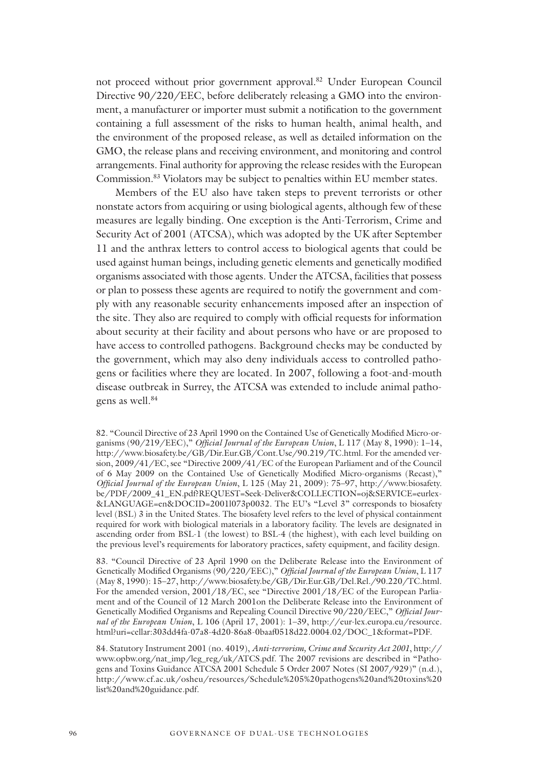not proceed without prior government approval.82 Under European Council Directive 90/220/EEC, before deliberately releasing a GMO into the environment, a manufacturer or importer must submit a notification to the government containing a full assessment of the risks to human health, animal health, and the environment of the proposed release, as well as detailed information on the GMO, the release plans and receiving environment, and monitoring and control arrangements. Final authority for approving the release resides with the European Commission.83 Violators may be subject to penalties within EU member states.

Members of the EU also have taken steps to prevent terrorists or other nonstate actors from acquiring or using biological agents, although few of these measures are legally binding. One exception is the Anti-Terrorism, Crime and Security Act of 2001 (ATCSA), which was adopted by the UK after September 11 and the anthrax letters to control access to biological agents that could be used against human beings, including genetic elements and genetically modified organisms associated with those agents. Under the ATCSA, facilities that possess or plan to possess these agents are required to notify the government and comply with any reasonable security enhancements imposed after an inspection of the site. They also are required to comply with official requests for information about security at their facility and about persons who have or are proposed to have access to controlled pathogens. Background checks may be conducted by the government, which may also deny individuals access to controlled pathogens or facilities where they are located. In 2007, following a foot-and-mouth disease outbreak in Surrey, the ATCSA was extended to include animal pathogens as well.<sup>84</sup>

83. "Council Directive of 23 April 1990 on the Deliberate Release into the Environment of Genetically Modified Organisms (90/220/EEC)," *Official Journal of the European Union*, L 117 (May 8, 1990): 15–27, http://www.biosafety.be/GB/Dir.Eur.GB/Del.Rel./90.220/TC.html. For the amended version, 2001/18/EC, see "Directive 2001/18/EC of the European Parliament and of the Council of 12 March 2001on the Deliberate Release into the Environment of Genetically Modified Organisms and Repealing Council Directive 90/220/EEC," *Official Journal of the European Union*, L 106 (April 17, 2001): 1–39, http://eur-lex.europa.eu/resource. html?uri=cellar:303dd4fa-07a8-4d20-86a8-0baaf0518d22.0004.02/DOC\_1&format=PDF.

84. Statutory Instrument 2001 (no. 4019), *Anti-terrorism, Crime and Security Act 2001*, http:// www.opbw.org/nat\_imp/leg\_reg/uk/ATCS.pdf. The 2007 revisions are described in "Pathogens and Toxins Guidance ATCSA 2001 Schedule 5 Order 2007 Notes (SI 2007/929)" (n.d.), http://www.cf.ac.uk/osheu/resources/Schedule%205%20pathogens%20and%20toxins%20 list%20and%20guidance.pdf.

<sup>82. &</sup>quot;Council Directive of 23 April 1990 on the Contained Use of Genetically Modified Micro-organisms (90/219/EEC)," *Official Journal of the European Union*, L 117 (May 8, 1990): 1–14, http://www.biosafety.be/GB/Dir.Eur.GB/Cont.Use/90.219/TC.html. For the amended version, 2009/41/EC, see "Directive 2009/41/EC of the European Parliament and of the Council of 6 May 2009 on the Contained Use of Genetically Modified Micro-organisms (Recast)," *Official Journal of the European Union*, L 125 (May 21, 2009): 75–97, http://www.biosafety. be/PDF/2009\_41\_EN.pdf?REQUEST=Seek-Deliver&COLLECTION=oj&SERVICE=eurlex- &LANGUAGE=en&DOCID=2001l073p0032. The EU's "Level 3" corresponds to biosafety level (BSL) 3 in the United States. The biosafety level refers to the level of physical containment required for work with biological materials in a laboratory facility. The levels are designated in ascending order from BSL-1 (the lowest) to BSL-4 (the highest), with each level building on the previous level's requirements for laboratory practices, safety equipment, and facility design.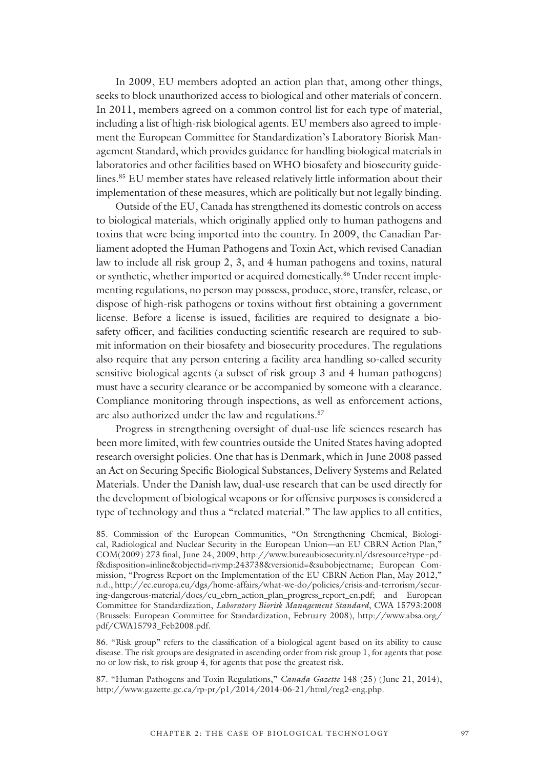In 2009, EU members adopted an action plan that, among other things, seeks to block unauthorized access to biological and other materials of concern. In 2011, members agreed on a common control list for each type of material, including a list of high-risk biological agents. EU members also agreed to implement the European Committee for Standardization's Laboratory Biorisk Management Standard, which provides guidance for handling biological materials in laboratories and other facilities based on WHO biosafety and biosecurity guidelines.85 EU member states have released relatively little information about their implementation of these measures, which are politically but not legally binding.

Outside of the EU, Canada has strengthened its domestic controls on access to biological materials, which originally applied only to human pathogens and toxins that were being imported into the country. In 2009, the Canadian Parliament adopted the Human Pathogens and Toxin Act, which revised Canadian law to include all risk group 2, 3, and 4 human pathogens and toxins, natural or synthetic, whether imported or acquired domestically.86 Under recent implementing regulations, no person may possess, produce, store, transfer, release, or dispose of high-risk pathogens or toxins without first obtaining a government license. Before a license is issued, facilities are required to designate a biosafety officer, and facilities conducting scientific research are required to submit information on their biosafety and biosecurity procedures. The regulations also require that any person entering a facility area handling so-called security sensitive biological agents (a subset of risk group 3 and 4 human pathogens) must have a security clearance or be accompanied by someone with a clearance. Compliance monitoring through inspections, as well as enforcement actions, are also authorized under the law and regulations.<sup>87</sup>

Progress in strengthening oversight of dual-use life sciences research has been more limited, with few countries outside the United States having adopted research oversight policies. One that has is Denmark, which in June 2008 passed an Act on Securing Specific Biological Substances, Delivery Systems and Related Materials. Under the Danish law, dual-use research that can be used directly for the development of biological weapons or for offensive purposes is considered a type of technology and thus a "related material." The law applies to all entities,

86. "Risk group" refers to the classification of a biological agent based on its ability to cause disease. The risk groups are designated in ascending order from risk group 1, for agents that pose no or low risk, to risk group 4, for agents that pose the greatest risk.

87. "Human Pathogens and Toxin Regulations," *Canada Gazette* 148 (25) (June 21, 2014), http://www.gazette.gc.ca/rp-pr/p1/2014/2014-06-21/html/reg2-eng.php.

<sup>85.</sup> Commission of the European Communities, "On Strengthening Chemical, Biological, Radiological and Nuclear Security in the European Union—an EU CBRN Action Plan," COM(2009) 273 final, June 24, 2009, http://www.bureaubiosecurity.nl/dsresource?type=pdf&disposition=inline&objectid=rivmp:243738&versionid=&subobjectname; European Commission, "Progress Report on the Implementation of the EU CBRN Action Plan, May 2012," n.d., http://ec.europa.eu/dgs/home-affairs/what-we-do/policies/crisis-and-terrorism/securing-dangerous-material/docs/eu\_cbrn\_action\_plan\_progress\_report\_en.pdf; and European Committee for Standardization, *Laboratory Biorisk Management Standard*, CWA 15793:2008 (Brussels: European Committee for Standardization, February 2008), http://www.absa.org/ pdf/CWA15793\_Feb2008.pdf.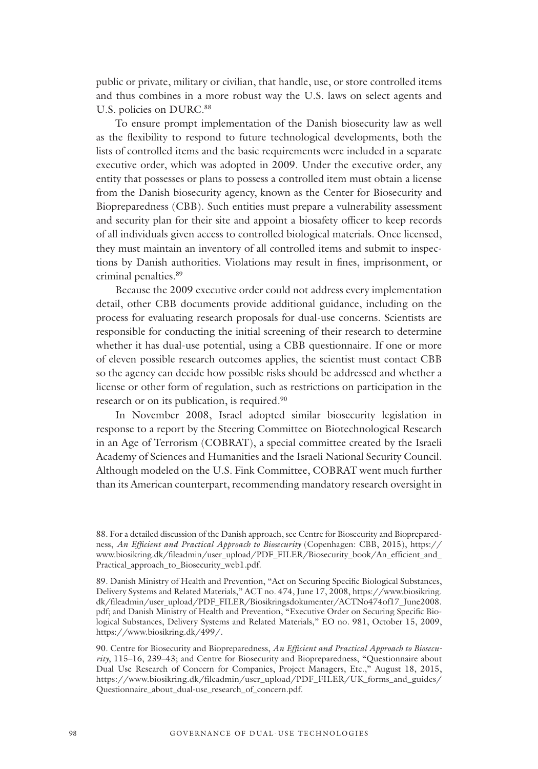public or private, military or civilian, that handle, use, or store controlled items and thus combines in a more robust way the U.S. laws on select agents and U.S. policies on DURC.<sup>88</sup>

To ensure prompt implementation of the Danish biosecurity law as well as the flexibility to respond to future technological developments, both the lists of controlled items and the basic requirements were included in a separate executive order, which was adopted in 2009. Under the executive order, any entity that possesses or plans to possess a controlled item must obtain a license from the Danish biosecurity agency, known as the Center for Biosecurity and Biopreparedness (CBB). Such entities must prepare a vulnerability assessment and security plan for their site and appoint a biosafety officer to keep records of all individuals given access to controlled biological materials. Once licensed, they must maintain an inventory of all controlled items and submit to inspections by Danish authorities. Violations may result in fines, imprisonment, or criminal penalties.89

Because the 2009 executive order could not address every implementation detail, other CBB documents provide additional guidance, including on the process for evaluating research proposals for dual-use concerns. Scientists are responsible for conducting the initial screening of their research to determine whether it has dual-use potential, using a CBB questionnaire. If one or more of eleven possible research outcomes applies, the scientist must contact CBB so the agency can decide how possible risks should be addressed and whether a license or other form of regulation, such as restrictions on participation in the research or on its publication, is required.<sup>90</sup>

In November 2008, Israel adopted similar biosecurity legislation in response to a report by the Steering Committee on Biotechnological Research in an Age of Terrorism (COBRAT), a special committee created by the Israeli Academy of Sciences and Humanities and the Israeli National Security Council. Although modeled on the U.S. Fink Committee, COBRAT went much further than its American counterpart, recommending mandatory research oversight in

<sup>88.</sup> For a detailed discussion of the Danish approach, see Centre for Biosecurity and Biopreparedness, *An Efficient and Practical Approach to Biosecurity* (Copenhagen: CBB, 2015), https:// www.biosikring.dk/fileadmin/user\_upload/PDF\_FILER/Biosecurity\_book/An\_efficient\_and\_ Practical\_approach\_to\_Biosecurity\_web1.pdf.

<sup>89.</sup> Danish Ministry of Health and Prevention, "Act on Securing Specific Biological Substances, Delivery Systems and Related Materials," ACT no. 474, June 17, 2008, https://www.biosikring. dk/fileadmin/user\_upload/PDF\_FILER/Biosikringsdokumenter/ACTNo474of17\_June2008. pdf; and Danish Ministry of Health and Prevention, "Executive Order on Securing Specific Biological Substances, Delivery Systems and Related Materials," EO no. 981, October 15, 2009, https://www.biosikring.dk/499/.

<sup>90.</sup> Centre for Biosecurity and Biopreparedness, *An Efficient and Practical Approach to Biosecurity*, 115–16, 239–43; and Centre for Biosecurity and Biopreparedness, "Questionnaire about Dual Use Research of Concern for Companies, Project Managers, Etc.," August 18, 2015, https://www.biosikring.dk/fileadmin/user\_upload/PDF\_FILER/UK\_forms\_and\_guides/ Questionnaire\_about\_dual-use\_research\_of\_concern.pdf.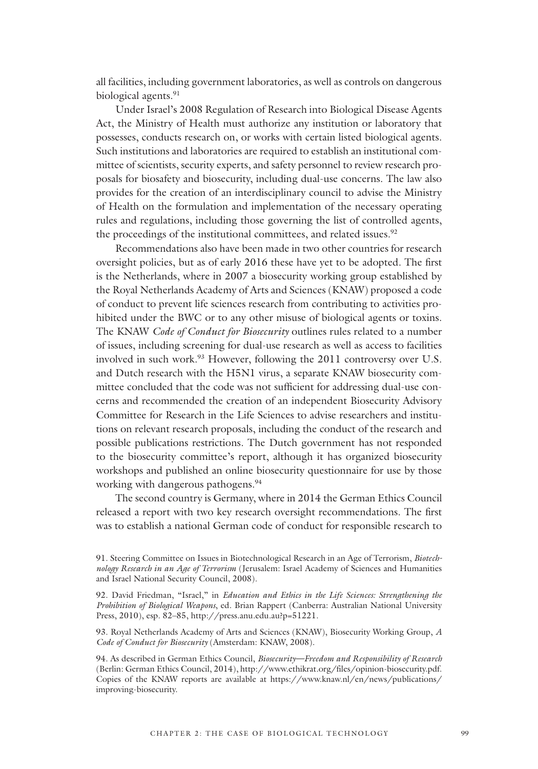all facilities, including government laboratories, as well as controls on dangerous biological agents.<sup>91</sup>

Under Israel's 2008 Regulation of Research into Biological Disease Agents Act, the Ministry of Health must authorize any institution or laboratory that possesses, conducts research on, or works with certain listed biological agents. Such institutions and laboratories are required to establish an institutional committee of scientists, security experts, and safety personnel to review research proposals for biosafety and biosecurity, including dual-use concerns. The law also provides for the creation of an interdisciplinary council to advise the Ministry of Health on the formulation and implementation of the necessary operating rules and regulations, including those governing the list of controlled agents, the proceedings of the institutional committees, and related issues.<sup>92</sup>

Recommendations also have been made in two other countries for research oversight policies, but as of early 2016 these have yet to be adopted. The first is the Netherlands, where in 2007 a biosecurity working group established by the Royal Netherlands Academy of Arts and Sciences (KNAW) proposed a code of conduct to prevent life sciences research from contributing to activities prohibited under the BWC or to any other misuse of biological agents or toxins. The KNAW *Code of Conduct for Biosecurity* outlines rules related to a number of issues, including screening for dual-use research as well as access to facilities involved in such work.<sup>93</sup> However, following the 2011 controversy over U.S. and Dutch research with the H5N1 virus, a separate KNAW biosecurity committee concluded that the code was not sufficient for addressing dual-use concerns and recommended the creation of an independent Biosecurity Advisory Committee for Research in the Life Sciences to advise researchers and institutions on relevant research proposals, including the conduct of the research and possible publications restrictions. The Dutch government has not responded to the biosecurity committee's report, although it has organized biosecurity workshops and published an online biosecurity questionnaire for use by those working with dangerous pathogens.<sup>94</sup>

The second country is Germany, where in 2014 the German Ethics Council released a report with two key research oversight recommendations. The first was to establish a national German code of conduct for responsible research to

<sup>91.</sup> Steering Committee on Issues in Biotechnological Research in an Age of Terrorism, *Biotechnology Research in an Age of Terrorism* (Jerusalem: Israel Academy of Sciences and Humanities and Israel National Security Council, 2008).

<sup>92.</sup> David Friedman, "Israel," in *Education and Ethics in the Life Sciences: Strengthening the Prohibition of Biological Weapons*, ed. Brian Rappert (Canberra: Australian National University Press, 2010), esp. 82–85, http://press.anu.edu.au?p=51221.

<sup>93.</sup> Royal Netherlands Academy of Arts and Sciences (KNAW), Biosecurity Working Group, *A Code of Conduct for Biosecurity* (Amsterdam: KNAW, 2008).

<sup>94.</sup> As described in German Ethics Council, *Biosecurity—Freedom and Responsibility of Research* (Berlin: German Ethics Council, 2014), http://www.ethikrat.org/files/opinion-biosecurity.pdf. Copies of the KNAW reports are available at https://www.knaw.nl/en/news/publications/ improving-biosecurity.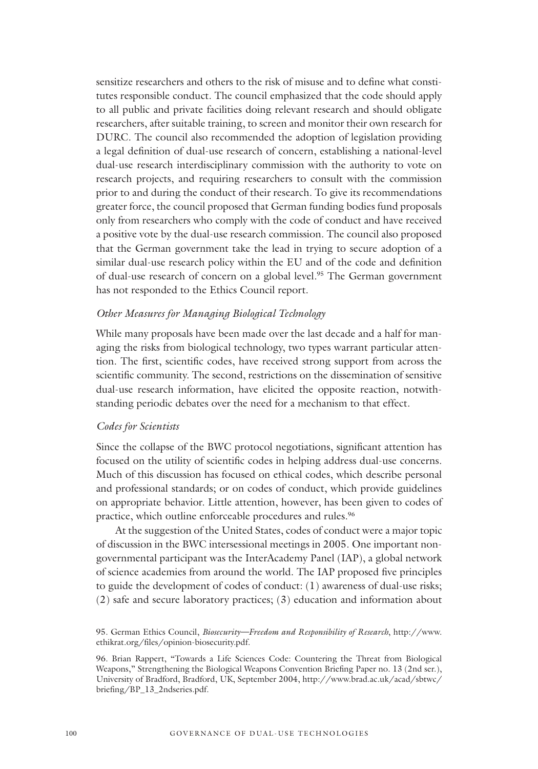sensitize researchers and others to the risk of misuse and to define what constitutes responsible conduct. The council emphasized that the code should apply to all public and private facilities doing relevant research and should obligate researchers, after suitable training, to screen and monitor their own research for DURC. The council also recommended the adoption of legislation providing a legal definition of dual-use research of concern, establishing a national-level dual-use research interdisciplinary commission with the authority to vote on research projects, and requiring researchers to consult with the commission prior to and during the conduct of their research. To give its recommendations greater force, the council proposed that German funding bodies fund proposals only from researchers who comply with the code of conduct and have received a positive vote by the dual-use research commission. The council also proposed that the German government take the lead in trying to secure adoption of a similar dual-use research policy within the EU and of the code and definition of dual-use research of concern on a global level.<sup>95</sup> The German government has not responded to the Ethics Council report.

#### *Other Measures for Managing Biological Technology*

While many proposals have been made over the last decade and a half for managing the risks from biological technology, two types warrant particular attention. The first, scientific codes, have received strong support from across the scientific community. The second, restrictions on the dissemination of sensitive dual-use research information, have elicited the opposite reaction, notwithstanding periodic debates over the need for a mechanism to that effect.

#### *Codes for Scientists*

Since the collapse of the BWC protocol negotiations, significant attention has focused on the utility of scientific codes in helping address dual-use concerns. Much of this discussion has focused on ethical codes, which describe personal and professional standards; or on codes of conduct, which provide guidelines on appropriate behavior. Little attention, however, has been given to codes of practice, which outline enforceable procedures and rules.<sup>96</sup>

At the suggestion of the United States, codes of conduct were a major topic of discussion in the BWC intersessional meetings in 2005. One important nongovernmental participant was the InterAcademy Panel (IAP), a global network of science academies from around the world. The IAP proposed five principles to guide the development of codes of conduct: (1) awareness of dual-use risks; (2) safe and secure laboratory practices; (3) education and information about

<sup>95.</sup> German Ethics Council, *Biosecurity—Freedom and Responsibility of Research*, http://www. ethikrat.org/files/opinion-biosecurity.pdf.

<sup>96.</sup> Brian Rappert, "Towards a Life Sciences Code: Countering the Threat from Biological Weapons," Strengthening the Biological Weapons Convention Briefing Paper no. 13 (2nd ser.), University of Bradford, Bradford, UK, September 2004, http://www.brad.ac.uk/acad/sbtwc/ briefing/BP\_13\_2ndseries.pdf.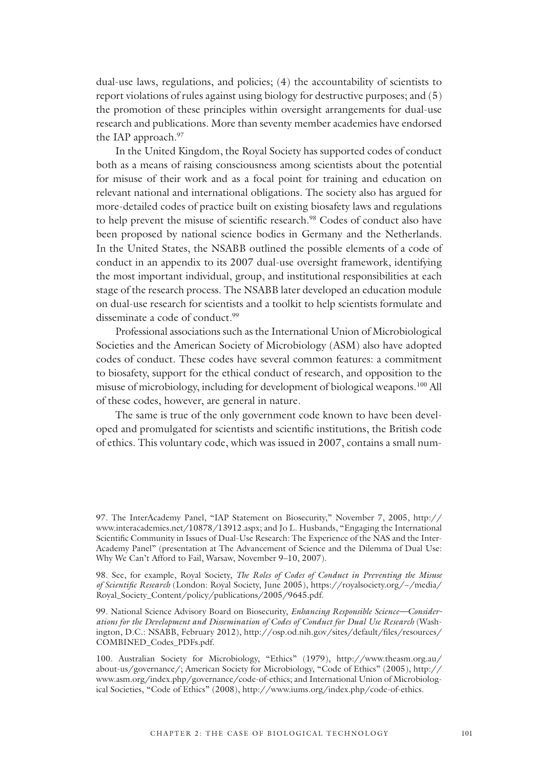dual-use laws, regulations, and policies; (4) the accountability of scientists to report violations of rules against using biology for destructive purposes; and (5) the promotion of these principles within oversight arrangements for dual-use research and publications. More than seventy member academies have endorsed the IAP approach.<sup>97</sup>

In the United Kingdom, the Royal Society has supported codes of conduct both as a means of raising consciousness among scientists about the potential for misuse of their work and as a focal point for training and education on relevant national and international obligations. The society also has argued for more-detailed codes of practice built on existing biosafety laws and regulations to help prevent the misuse of scientific research.<sup>98</sup> Codes of conduct also have been proposed by national science bodies in Germany and the Netherlands. In the United States, the NSABB outlined the possible elements of a code of conduct in an appendix to its 2007 dual-use oversight framework, identifying the most important individual, group, and institutional responsibilities at each stage of the research process. The NSABB later developed an education module on dual-use research for scientists and a toolkit to help scientists formulate and disseminate a code of conduct.<sup>99</sup>

Professional associations such as the International Union of Microbiological Societies and the American Society of Microbiology (ASM) also have adopted codes of conduct. These codes have several common features: a commitment to biosafety, support for the ethical conduct of research, and opposition to the misuse of microbiology, including for development of biological weapons.100 All of these codes, however, are general in nature.

The same is true of the only government code known to have been developed and promulgated for scientists and scientific institutions, the British code of ethics. This voluntary code, which was issued in 2007, contains a small num-

98. See, for example, Royal Society, *The Roles of Codes of Conduct in Preventing the Misuse of Scientific Research* (London: Royal Society, June 2005), https://royalsociety.org/~/media/ Royal\_Society\_Content/policy/publications/2005/9645.pdf.

99. National Science Advisory Board on Biosecurity, *Enhancing Responsible Science—Considerations for the Development and Dissemination of Codes of Conduct for Dual Use Research* (Washington, D.C.: NSABB, February 2012), http://osp.od.nih.gov/sites/default/files/resources/ COMBINED\_Codes\_PDFs.pdf.

100. Australian Society for Microbiology, "Ethics" (1979), http://www.theasm.org.au/ about-us/governance/; American Society for Microbiology, "Code of Ethics" (2005), http:// www.asm.org/index.php/governance/code-of-ethics; and International Union of Microbiological Societies, "Code of Ethics" (2008), http://www.iums.org/index.php/code-of-ethics.

<sup>97.</sup> The InterAcademy Panel, "IAP Statement on Biosecurity," November 7, 2005, http:// www.interacademies.net/10878/13912.aspx; and Jo L. Husbands, "Engaging the International Scientific Community in Issues of Dual-Use Research: The Experience of the NAS and the Inter-Academy Panel" (presentation at The Advancement of Science and the Dilemma of Dual Use: Why We Can't Afford to Fail, Warsaw, November 9–10, 2007).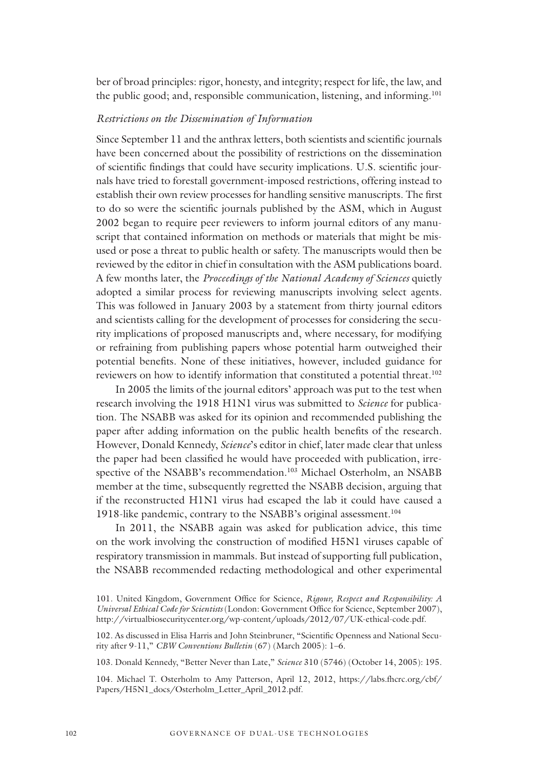ber of broad principles: rigor, honesty, and integrity; respect for life, the law, and the public good; and, responsible communication, listening, and informing.<sup>101</sup>

#### *Restrictions on the Dissemination of Information*

Since September 11 and the anthrax letters, both scientists and scientific journals have been concerned about the possibility of restrictions on the dissemination of scientific findings that could have security implications. U.S. scientific journals have tried to forestall government-imposed restrictions, offering instead to establish their own review processes for handling sensitive manuscripts. The first to do so were the scientific journals published by the ASM, which in August 2002 began to require peer reviewers to inform journal editors of any manuscript that contained information on methods or materials that might be misused or pose a threat to public health or safety. The manuscripts would then be reviewed by the editor in chief in consultation with the ASM publications board. A few months later, the *Proceedings of the National Academy of Sciences* quietly adopted a similar process for reviewing manuscripts involving select agents. This was followed in January 2003 by a statement from thirty journal editors and scientists calling for the development of processes for considering the security implications of proposed manuscripts and, where necessary, for modifying or refraining from publishing papers whose potential harm outweighed their potential benefits. None of these initiatives, however, included guidance for reviewers on how to identify information that constituted a potential threat.<sup>102</sup>

In 2005 the limits of the journal editors' approach was put to the test when research involving the 1918 H1N1 virus was submitted to *Science* for publication. The NSABB was asked for its opinion and recommended publishing the paper after adding information on the public health benefits of the research. However, Donald Kennedy, *Science*'s editor in chief, later made clear that unless the paper had been classified he would have proceeded with publication, irrespective of the NSABB's recommendation.<sup>103</sup> Michael Osterholm, an NSABB member at the time, subsequently regretted the NSABB decision, arguing that if the reconstructed H1N1 virus had escaped the lab it could have caused a 1918-like pandemic, contrary to the NSABB's original assessment.<sup>104</sup>

In 2011, the NSABB again was asked for publication advice, this time on the work involving the construction of modified H5N1 viruses capable of respiratory transmission in mammals. But instead of supporting full publication, the NSABB recommended redacting methodological and other experimental

103. Donald Kennedy, "Better Never than Late," *Science* 310 (5746) (October 14, 2005): 195.

104. Michael T. Osterholm to Amy Patterson, April 12, 2012, https://labs.fhcrc.org/cbf/ Papers/H5N1\_docs/Osterholm\_Letter\_April\_2012.pdf.

<sup>101.</sup> United Kingdom, Government Office for Science, *Rigour, Respect and Responsibility: A Universal Ethical Code for Scientists* (London: Government Office for Science, September 2007), http://virtualbiosecuritycenter.org/wp-content/uploads/2012/07/UK-ethical-code.pdf.

<sup>102.</sup> As discussed in Elisa Harris and John Steinbruner, "Scientific Openness and National Security after 9-11," *CBW Conventions Bulletin* (67) (March 2005): 1–6.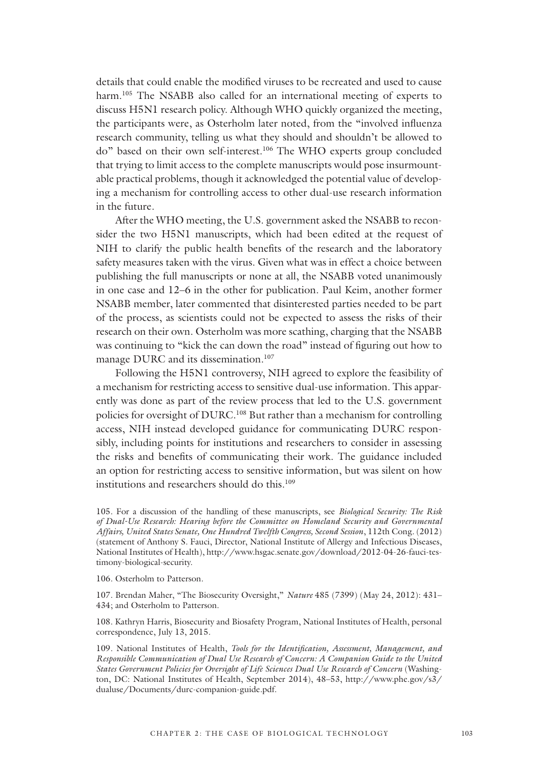details that could enable the modified viruses to be recreated and used to cause harm.<sup>105</sup> The NSABB also called for an international meeting of experts to discuss H5N1 research policy. Although WHO quickly organized the meeting, the participants were, as Osterholm later noted, from the "involved influenza research community, telling us what they should and shouldn't be allowed to do" based on their own self-interest.106 The WHO experts group concluded that trying to limit access to the complete manuscripts would pose insurmountable practical problems, though it acknowledged the potential value of developing a mechanism for controlling access to other dual-use research information in the future.

After the WHO meeting, the U.S. government asked the NSABB to reconsider the two H5N1 manuscripts, which had been edited at the request of NIH to clarify the public health benefits of the research and the laboratory safety measures taken with the virus. Given what was in effect a choice between publishing the full manuscripts or none at all, the NSABB voted unanimously in one case and 12–6 in the other for publication. Paul Keim, another former NSABB member, later commented that disinterested parties needed to be part of the process, as scientists could not be expected to assess the risks of their research on their own. Osterholm was more scathing, charging that the NSABB was continuing to "kick the can down the road" instead of figuring out how to manage DURC and its dissemination.<sup>107</sup>

Following the H5N1 controversy, NIH agreed to explore the feasibility of a mechanism for restricting access to sensitive dual-use information. This apparently was done as part of the review process that led to the U.S. government policies for oversight of DURC.108 But rather than a mechanism for controlling access, NIH instead developed guidance for communicating DURC responsibly, including points for institutions and researchers to consider in assessing the risks and benefits of communicating their work. The guidance included an option for restricting access to sensitive information, but was silent on how institutions and researchers should do this.<sup>109</sup>

105. For a discussion of the handling of these manuscripts, see *Biological Security: The Risk of Dual-Use Research: Hearing before the Committee on Homeland Security and Governmental Affairs, United States Senate, One Hundred Twelfth Congress, Second Session*, 112th Cong. (2012) (statement of Anthony S. Fauci, Director, National Institute of Allergy and Infectious Diseases, National Institutes of Health), http://www.hsgac.senate.gov/download/2012-04-26-fauci-testimony-biological-security.

106. Osterholm to Patterson.

107. Brendan Maher, "The Biosecurity Oversight," *Nature* 485 (7399) (May 24, 2012): 431– 434; and Osterholm to Patterson.

108. Kathryn Harris, Biosecurity and Biosafety Program, National Institutes of Health, personal correspondence, July 13, 2015.

109. National Institutes of Health, *Tools for the Identification, Assessment, Management, and Responsible Communication of Dual Use Research of Concern: A Companion Guide to the United States Government Policies for Oversight of Life Sciences Dual Use Research of Concern* (Washington, DC: National Institutes of Health, September 2014), 48–53, http://www.phe.gov/s3/ dualuse/Documents/durc-companion-guide.pdf.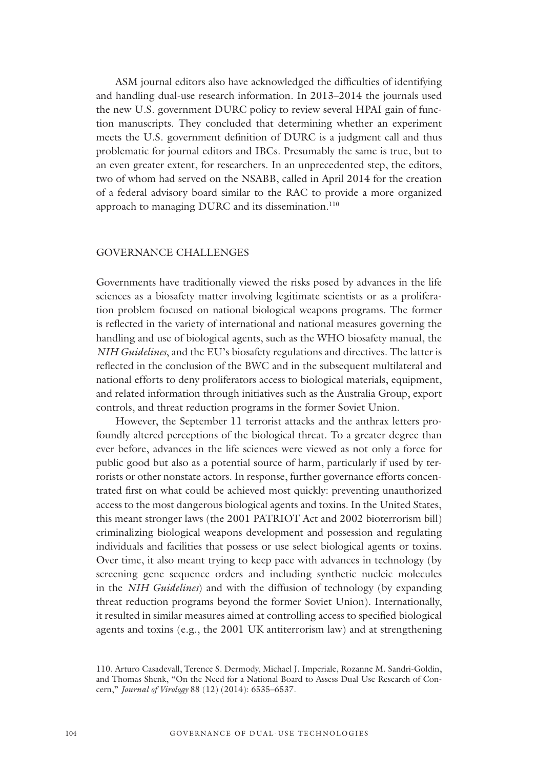ASM journal editors also have acknowledged the difficulties of identifying and handling dual-use research information. In 2013–2014 the journals used the new U.S. government DURC policy to review several HPAI gain of function manuscripts. They concluded that determining whether an experiment meets the U.S. government definition of DURC is a judgment call and thus problematic for journal editors and IBCs. Presumably the same is true, but to an even greater extent, for researchers. In an unprecedented step, the editors, two of whom had served on the NSABB, called in April 2014 for the creation of a federal advisory board similar to the RAC to provide a more organized approach to managing DURC and its dissemination.<sup>110</sup>

#### GOVERNANCE CHALLENGES

Governments have traditionally viewed the risks posed by advances in the life sciences as a biosafety matter involving legitimate scientists or as a proliferation problem focused on national biological weapons programs. The former is reflected in the variety of international and national measures governing the handling and use of biological agents, such as the WHO biosafety manual, the *NIH Guidelines*, and the EU's biosafety regulations and directives. The latter is reflected in the conclusion of the BWC and in the subsequent multilateral and national efforts to deny proliferators access to biological materials, equipment, and related information through initiatives such as the Australia Group, export controls, and threat reduction programs in the former Soviet Union.

However, the September 11 terrorist attacks and the anthrax letters profoundly altered perceptions of the biological threat. To a greater degree than ever before, advances in the life sciences were viewed as not only a force for public good but also as a potential source of harm, particularly if used by terrorists or other nonstate actors. In response, further governance efforts concentrated first on what could be achieved most quickly: preventing unauthorized access to the most dangerous biological agents and toxins. In the United States, this meant stronger laws (the 2001 PATRIOT Act and 2002 bioterrorism bill) criminalizing biological weapons development and possession and regulating individuals and facilities that possess or use select biological agents or toxins. Over time, it also meant trying to keep pace with advances in technology (by screening gene sequence orders and including synthetic nucleic molecules in the *NIH Guidelines*) and with the diffusion of technology (by expanding threat reduction programs beyond the former Soviet Union). Internationally, it resulted in similar measures aimed at controlling access to specified biological agents and toxins (e.g., the 2001 UK antiterrorism law) and at strengthening

<sup>110.</sup> Arturo Casadevall, Terence S. Dermody, Michael J. Imperiale, Rozanne M. Sandri-Goldin, and Thomas Shenk, "On the Need for a National Board to Assess Dual Use Research of Concern," *Journal of Virology* 88 (12) (2014): 6535–6537.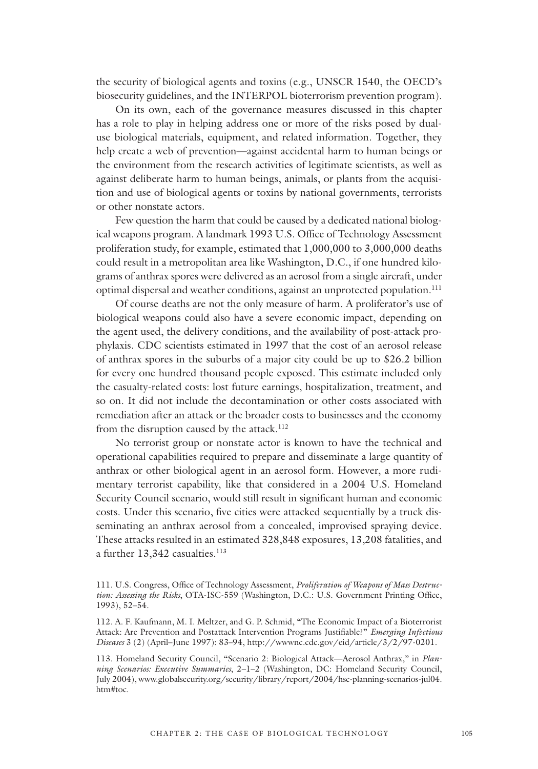the security of biological agents and toxins (e.g., UNSCR 1540, the OECD's biosecurity guidelines, and the INTERPOL bioterrorism prevention program).

On its own, each of the governance measures discussed in this chapter has a role to play in helping address one or more of the risks posed by dualuse biological materials, equipment, and related information. Together, they help create a web of prevention—against accidental harm to human beings or the environment from the research activities of legitimate scientists, as well as against deliberate harm to human beings, animals, or plants from the acquisition and use of biological agents or toxins by national governments, terrorists or other nonstate actors.

Few question the harm that could be caused by a dedicated national biological weapons program. A landmark 1993 U.S. Office of Technology Assessment proliferation study, for example, estimated that 1,000,000 to 3,000,000 deaths could result in a metropolitan area like Washington, D.C., if one hundred kilograms of anthrax spores were delivered as an aerosol from a single aircraft, under optimal dispersal and weather conditions, against an unprotected population.<sup>111</sup>

Of course deaths are not the only measure of harm. A proliferator's use of biological weapons could also have a severe economic impact, depending on the agent used, the delivery conditions, and the availability of post-attack prophylaxis. CDC scientists estimated in 1997 that the cost of an aerosol release of anthrax spores in the suburbs of a major city could be up to \$26.2 billion for every one hundred thousand people exposed. This estimate included only the casualty-related costs: lost future earnings, hospitalization, treatment, and so on. It did not include the decontamination or other costs associated with remediation after an attack or the broader costs to businesses and the economy from the disruption caused by the attack.<sup>112</sup>

No terrorist group or nonstate actor is known to have the technical and operational capabilities required to prepare and disseminate a large quantity of anthrax or other biological agent in an aerosol form. However, a more rudimentary terrorist capability, like that considered in a 2004 U.S. Homeland Security Council scenario, would still result in significant human and economic costs. Under this scenario, five cities were attacked sequentially by a truck disseminating an anthrax aerosol from a concealed, improvised spraying device. These attacks resulted in an estimated 328,848 exposures, 13,208 fatalities, and a further 13,342 casualties.<sup>113</sup>

<sup>111.</sup> U.S. Congress, Office of Technology Assessment, *Proliferation of Weapons of Mass Destruction: Assessing the Risks*, OTA-ISC-559 (Washington, D.C.: U.S. Government Printing Office, 1993), 52–54.

<sup>112.</sup> A. F. Kaufmann, M. I. Meltzer, and G. P. Schmid, "The Economic Impact of a Bioterrorist Attack: Are Prevention and Postattack Intervention Programs Justifiable?" *Emerging Infectious Diseases* 3 (2) (April–June 1997): 83–94, http://wwwnc.cdc.gov/eid/article/3/2/97-0201.

<sup>113.</sup> Homeland Security Council, "Scenario 2: Biological Attack—Aerosol Anthrax," in *Planning Scenarios: Executive Summaries*, 2–1–2 (Washington, DC: Homeland Security Council, July 2004), www.globalsecurity.org/security/library/report/2004/hsc-planning-scenarios-jul04. htm#toc.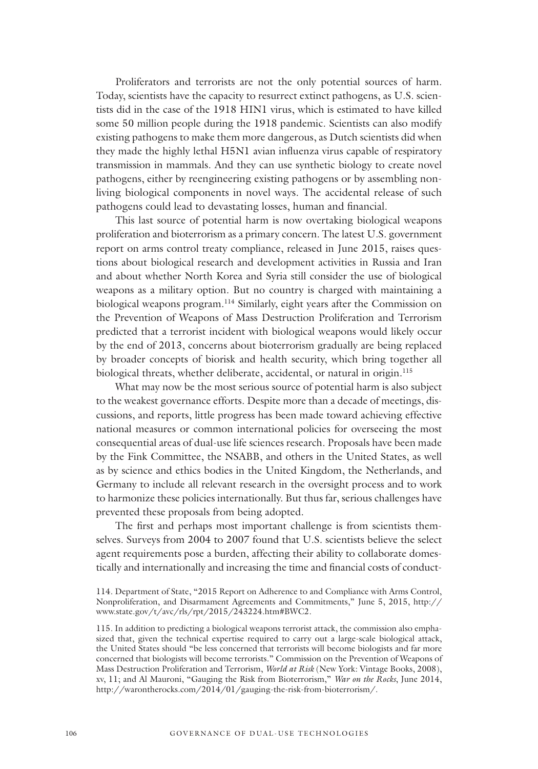Proliferators and terrorists are not the only potential sources of harm. Today, scientists have the capacity to resurrect extinct pathogens, as U.S. scientists did in the case of the 1918 HIN1 virus, which is estimated to have killed some 50 million people during the 1918 pandemic. Scientists can also modify existing pathogens to make them more dangerous, as Dutch scientists did when they made the highly lethal H5N1 avian influenza virus capable of respiratory transmission in mammals. And they can use synthetic biology to create novel pathogens, either by reengineering existing pathogens or by assembling nonliving biological components in novel ways. The accidental release of such pathogens could lead to devastating losses, human and financial.

This last source of potential harm is now overtaking biological weapons proliferation and bioterrorism as a primary concern. The latest U.S. government report on arms control treaty compliance, released in June 2015, raises questions about biological research and development activities in Russia and Iran and about whether North Korea and Syria still consider the use of biological weapons as a military option. But no country is charged with maintaining a biological weapons program.<sup>114</sup> Similarly, eight years after the Commission on the Prevention of Weapons of Mass Destruction Proliferation and Terrorism predicted that a terrorist incident with biological weapons would likely occur by the end of 2013, concerns about bioterrorism gradually are being replaced by broader concepts of biorisk and health security, which bring together all biological threats, whether deliberate, accidental, or natural in origin.<sup>115</sup>

What may now be the most serious source of potential harm is also subject to the weakest governance efforts. Despite more than a decade of meetings, discussions, and reports, little progress has been made toward achieving effective national measures or common international policies for overseeing the most consequential areas of dual-use life sciences research. Proposals have been made by the Fink Committee, the NSABB, and others in the United States, as well as by science and ethics bodies in the United Kingdom, the Netherlands, and Germany to include all relevant research in the oversight process and to work to harmonize these policies internationally. But thus far, serious challenges have prevented these proposals from being adopted.

The first and perhaps most important challenge is from scientists themselves. Surveys from 2004 to 2007 found that U.S. scientists believe the select agent requirements pose a burden, affecting their ability to collaborate domestically and internationally and increasing the time and financial costs of conduct-

<sup>114.</sup> Department of State, "2015 Report on Adherence to and Compliance with Arms Control, Nonproliferation, and Disarmament Agreements and Commitments," June 5, 2015, http:// www.state.gov/t/avc/rls/rpt/2015/243224.htm#BWC2.

<sup>115.</sup> In addition to predicting a biological weapons terrorist attack, the commission also emphasized that, given the technical expertise required to carry out a large-scale biological attack, the United States should "be less concerned that terrorists will become biologists and far more concerned that biologists will become terrorists." Commission on the Prevention of Weapons of Mass Destruction Proliferation and Terrorism, *World at Risk* (New York: Vintage Books, 2008), xv, 11; and Al Mauroni, "Gauging the Risk from Bioterrorism," *War on the Rocks*, June 2014, http://warontherocks.com/2014/01/gauging-the-risk-from-bioterrorism/.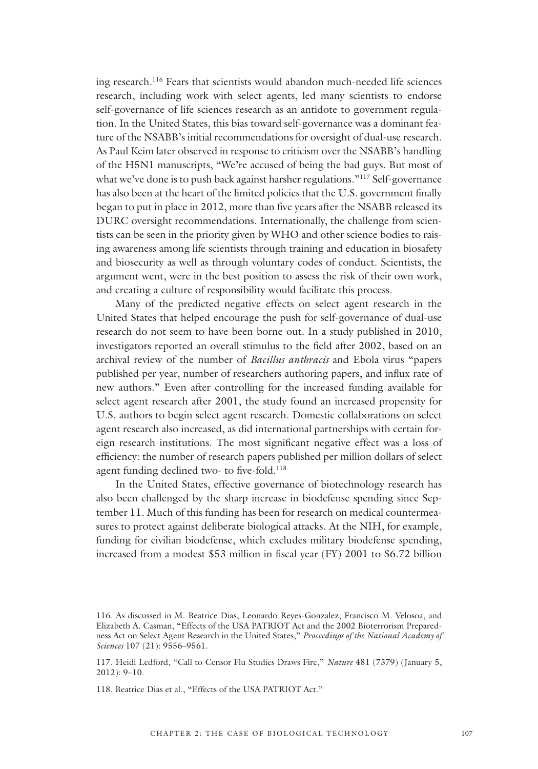ing research.116 Fears that scientists would abandon much-needed life sciences research, including work with select agents, led many scientists to endorse self-governance of life sciences research as an antidote to government regulation. In the United States, this bias toward self-governance was a dominant feature of the NSABB's initial recommendations for oversight of dual-use research. As Paul Keim later observed in response to criticism over the NSABB's handling of the H5N1 manuscripts, "We're accused of being the bad guys. But most of what we've done is to push back against harsher regulations."<sup>117</sup> Self-governance has also been at the heart of the limited policies that the U.S. government finally began to put in place in 2012, more than five years after the NSABB released its DURC oversight recommendations. Internationally, the challenge from scientists can be seen in the priority given by WHO and other science bodies to raising awareness among life scientists through training and education in biosafety and biosecurity as well as through voluntary codes of conduct. Scientists, the argument went, were in the best position to assess the risk of their own work, and creating a culture of responsibility would facilitate this process.

Many of the predicted negative effects on select agent research in the United States that helped encourage the push for self-governance of dual-use research do not seem to have been borne out. In a study published in 2010, investigators reported an overall stimulus to the field after 2002, based on an archival review of the number of *Bacillus anthracis* and Ebola virus "papers published per year, number of researchers authoring papers, and influx rate of new authors." Even after controlling for the increased funding available for select agent research after 2001, the study found an increased propensity for U.S. authors to begin select agent research. Domestic collaborations on select agent research also increased, as did international partnerships with certain foreign research institutions. The most significant negative effect was a loss of efficiency: the number of research papers published per million dollars of select agent funding declined two- to five-fold.<sup>118</sup>

In the United States, effective governance of biotechnology research has also been challenged by the sharp increase in biodefense spending since September 11. Much of this funding has been for research on medical countermeasures to protect against deliberate biological attacks. At the NIH, for example, funding for civilian biodefense, which excludes military biodefense spending, increased from a modest \$53 million in fiscal year (FY) 2001 to \$6.72 billion

<sup>116.</sup> As discussed in M. Beatrice Dias, Leonardo Reyes-Gonzalez, Francisco M. Velosoa, and Elizabeth A. Casman, "Effects of the USA PATRIOT Act and the 2002 Bioterrorism Preparedness Act on Select Agent Research in the United States," *Proceedings of the National Academy of Sciences* 107 (21): 9556–9561.

<sup>117.</sup> Heidi Ledford, "Call to Censor Flu Studies Draws Fire," *Nature* 481 (7379) (January 5, 2012): 9–10.

<sup>118.</sup> Beatrice Dias et al., "Effects of the USA PATRIOT Act."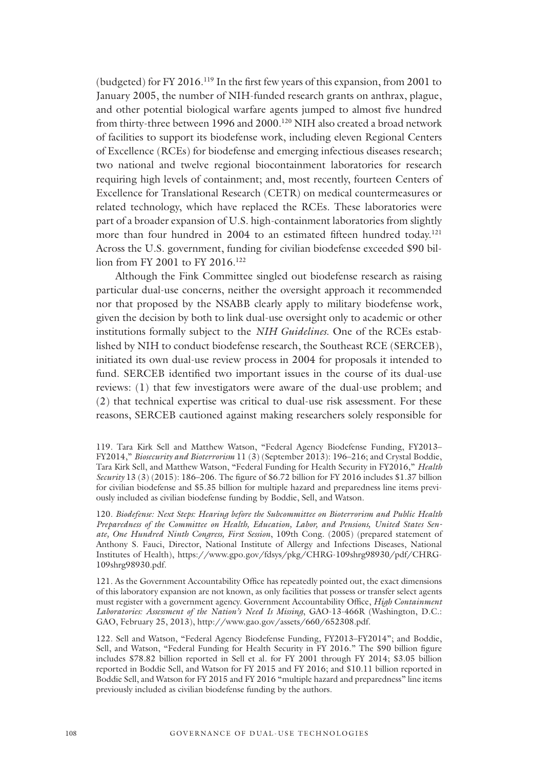(budgeted) for FY 2016.119 In the first few years of this expansion, from 2001 to January 2005, the number of NIH-funded research grants on anthrax, plague, and other potential biological warfare agents jumped to almost five hundred from thirty-three between 1996 and 2000.<sup>120</sup> NIH also created a broad network of facilities to support its biodefense work, including eleven Regional Centers of Excellence (RCEs) for biodefense and emerging infectious diseases research; two national and twelve regional biocontainment laboratories for research requiring high levels of containment; and, most recently, fourteen Centers of Excellence for Translational Research (CETR) on medical countermeasures or related technology, which have replaced the RCEs. These laboratories were part of a broader expansion of U.S. high-containment laboratories from slightly more than four hundred in 2004 to an estimated fifteen hundred today.<sup>121</sup> Across the U.S. government, funding for civilian biodefense exceeded \$90 billion from FY 2001 to FY 2016.<sup>122</sup>

Although the Fink Committee singled out biodefense research as raising particular dual-use concerns, neither the oversight approach it recommended nor that proposed by the NSABB clearly apply to military biodefense work, given the decision by both to link dual-use oversight only to academic or other institutions formally subject to the *NIH Guidelines*. One of the RCEs established by NIH to conduct biodefense research, the Southeast RCE (SERCEB), initiated its own dual-use review process in 2004 for proposals it intended to fund. SERCEB identified two important issues in the course of its dual-use reviews: (1) that few investigators were aware of the dual-use problem; and (2) that technical expertise was critical to dual-use risk assessment. For these reasons, SERCEB cautioned against making researchers solely responsible for

120. *Biodefense: Next Steps: Hearing before the Subcommittee on Bioterrorism and Public Health Preparedness of the Committee on Health, Education, Labor, and Pensions, United States Senate, One Hundred Ninth Congress, First Session*, 109th Cong. (2005) (prepared statement of Anthony S. Fauci, Director, National Institute of Allergy and Infections Diseases, National Institutes of Health), https://www.gpo.gov/fdsys/pkg/CHRG-109shrg98930/pdf/CHRG-109shrg98930.pdf.

121. As the Government Accountability Office has repeatedly pointed out, the exact dimensions of this laboratory expansion are not known, as only facilities that possess or transfer select agents must register with a government agency. Government Accountability Office, *High Containment Laboratories: Assessment of the Nation's Need Is Missing*, GAO-13-466R (Washington, D.C.: GAO, February 25, 2013), http://www.gao.gov/assets/660/652308.pdf.

122. Sell and Watson, "Federal Agency Biodefense Funding, FY2013–FY2014"; and Boddie, Sell, and Watson, "Federal Funding for Health Security in FY 2016." The \$90 billion figure includes \$78.82 billion reported in Sell et al. for FY 2001 through FY 2014; \$3.05 billion reported in Boddie Sell, and Watson for FY 2015 and FY 2016; and \$10.11 billion reported in Boddie Sell, and Watson for FY 2015 and FY 2016 "multiple hazard and preparedness" line items previously included as civilian biodefense funding by the authors.

<sup>119.</sup> Tara Kirk Sell and Matthew Watson, "Federal Agency Biodefense Funding, FY2013– FY2014," *Biosecurity and Bioterrorism* 11 (3) (September 2013): 196–216; and Crystal Boddie, Tara Kirk Sell, and Matthew Watson, "Federal Funding for Health Security in FY2016," *Health Security* 13 (3) (2015): 186–206. The figure of \$6.72 billion for FY 2016 includes \$1.37 billion for civilian biodefense and \$5.35 billion for multiple hazard and preparedness line items previously included as civilian biodefense funding by Boddie, Sell, and Watson.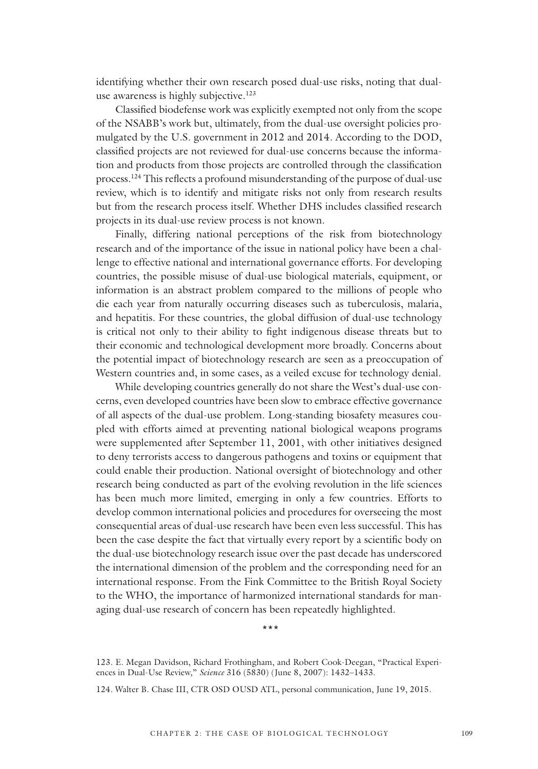identifying whether their own research posed dual-use risks, noting that dualuse awareness is highly subjective.<sup>123</sup>

Classified biodefense work was explicitly exempted not only from the scope of the NSABB's work but, ultimately, from the dual-use oversight policies promulgated by the U.S. government in 2012 and 2014. According to the DOD, classified projects are not reviewed for dual-use concerns because the information and products from those projects are controlled through the classification process.124 This reflects a profound misunderstanding of the purpose of dual-use review, which is to identify and mitigate risks not only from research results but from the research process itself. Whether DHS includes classified research projects in its dual-use review process is not known.

Finally, differing national perceptions of the risk from biotechnology research and of the importance of the issue in national policy have been a challenge to effective national and international governance efforts. For developing countries, the possible misuse of dual-use biological materials, equipment, or information is an abstract problem compared to the millions of people who die each year from naturally occurring diseases such as tuberculosis, malaria, and hepatitis. For these countries, the global diffusion of dual-use technology is critical not only to their ability to fight indigenous disease threats but to their economic and technological development more broadly. Concerns about the potential impact of biotechnology research are seen as a preoccupation of Western countries and, in some cases, as a veiled excuse for technology denial.

While developing countries generally do not share the West's dual-use concerns, even developed countries have been slow to embrace effective governance of all aspects of the dual-use problem. Long-standing biosafety measures coupled with efforts aimed at preventing national biological weapons programs were supplemented after September 11, 2001, with other initiatives designed to deny terrorists access to dangerous pathogens and toxins or equipment that could enable their production. National oversight of biotechnology and other research being conducted as part of the evolving revolution in the life sciences has been much more limited, emerging in only a few countries. Efforts to develop common international policies and procedures for overseeing the most consequential areas of dual-use research have been even less successful. This has been the case despite the fact that virtually every report by a scientific body on the dual-use biotechnology research issue over the past decade has underscored the international dimension of the problem and the corresponding need for an international response. From the Fink Committee to the British Royal Society to the WHO, the importance of harmonized international standards for managing dual-use research of concern has been repeatedly highlighted.

\*\*\*

<sup>123.</sup> E. Megan Davidson, Richard Frothingham, and Robert Cook-Deegan, "Practical Experiences in Dual-Use Review," *Science* 316 (5830) (June 8, 2007): 1432–1433.

<sup>124.</sup> Walter B. Chase III, CTR OSD OUSD ATL, personal communication, June 19, 2015.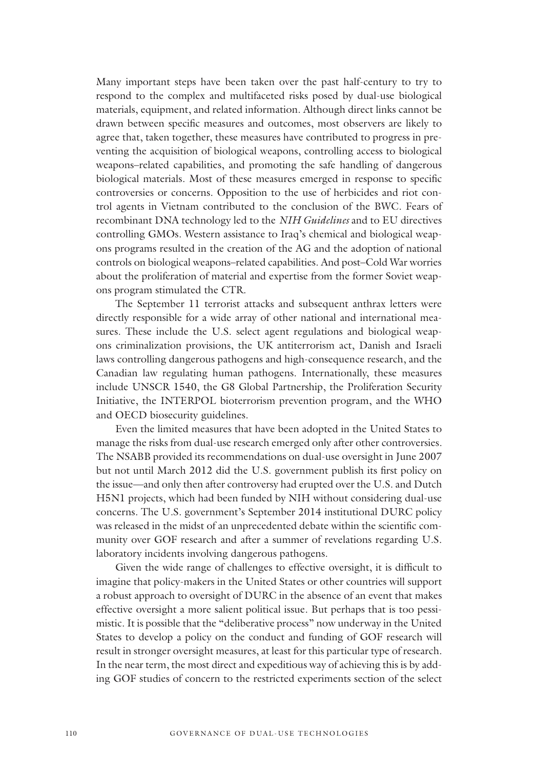Many important steps have been taken over the past half-century to try to respond to the complex and multifaceted risks posed by dual-use biological materials, equipment, and related information. Although direct links cannot be drawn between specific measures and outcomes, most observers are likely to agree that, taken together, these measures have contributed to progress in preventing the acquisition of biological weapons, controlling access to biological weapons–related capabilities, and promoting the safe handling of dangerous biological materials. Most of these measures emerged in response to specific controversies or concerns. Opposition to the use of herbicides and riot control agents in Vietnam contributed to the conclusion of the BWC. Fears of recombinant DNA technology led to the *NIH Guidelines* and to EU directives controlling GMOs. Western assistance to Iraq's chemical and biological weapons programs resulted in the creation of the AG and the adoption of national controls on biological weapons–related capabilities. And post–Cold War worries about the proliferation of material and expertise from the former Soviet weapons program stimulated the CTR.

The September 11 terrorist attacks and subsequent anthrax letters were directly responsible for a wide array of other national and international measures. These include the U.S. select agent regulations and biological weapons criminalization provisions, the UK antiterrorism act, Danish and Israeli laws controlling dangerous pathogens and high-consequence research, and the Canadian law regulating human pathogens. Internationally, these measures include UNSCR 1540, the G8 Global Partnership, the Proliferation Security Initiative, the INTERPOL bioterrorism prevention program, and the WHO and OECD biosecurity guidelines.

Even the limited measures that have been adopted in the United States to manage the risks from dual-use research emerged only after other controversies. The NSABB provided its recommendations on dual-use oversight in June 2007 but not until March 2012 did the U.S. government publish its first policy on the issue—and only then after controversy had erupted over the U.S. and Dutch H5N1 projects, which had been funded by NIH without considering dual-use concerns. The U.S. government's September 2014 institutional DURC policy was released in the midst of an unprecedented debate within the scientific community over GOF research and after a summer of revelations regarding U.S. laboratory incidents involving dangerous pathogens.

Given the wide range of challenges to effective oversight, it is difficult to imagine that policy-makers in the United States or other countries will support a robust approach to oversight of DURC in the absence of an event that makes effective oversight a more salient political issue. But perhaps that is too pessimistic. It is possible that the "deliberative process" now underway in the United States to develop a policy on the conduct and funding of GOF research will result in stronger oversight measures, at least for this particular type of research. In the near term, the most direct and expeditious way of achieving this is by adding GOF studies of concern to the restricted experiments section of the select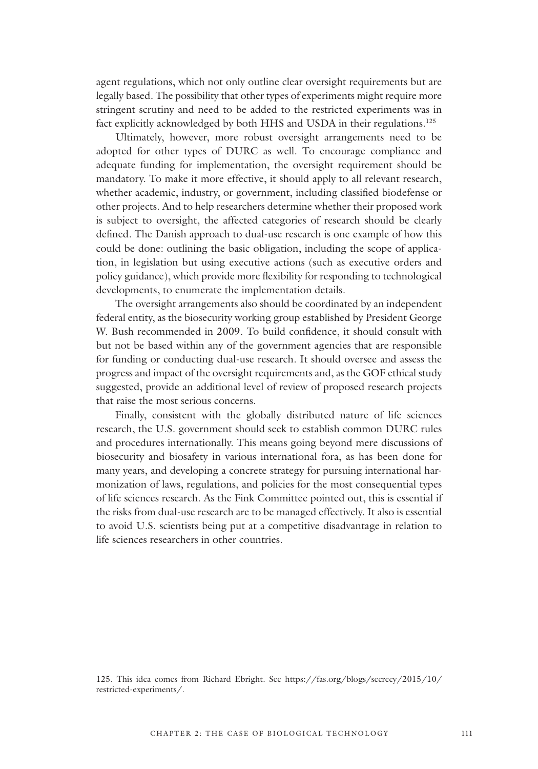agent regulations, which not only outline clear oversight requirements but are legally based. The possibility that other types of experiments might require more stringent scrutiny and need to be added to the restricted experiments was in fact explicitly acknowledged by both HHS and USDA in their regulations.<sup>125</sup>

Ultimately, however, more robust oversight arrangements need to be adopted for other types of DURC as well. To encourage compliance and adequate funding for implementation, the oversight requirement should be mandatory. To make it more effective, it should apply to all relevant research, whether academic, industry, or government, including classified biodefense or other projects. And to help researchers determine whether their proposed work is subject to oversight, the affected categories of research should be clearly defined. The Danish approach to dual-use research is one example of how this could be done: outlining the basic obligation, including the scope of application, in legislation but using executive actions (such as executive orders and policy guidance), which provide more flexibility for responding to technological developments, to enumerate the implementation details.

The oversight arrangements also should be coordinated by an independent federal entity, as the biosecurity working group established by President George W. Bush recommended in 2009. To build confidence, it should consult with but not be based within any of the government agencies that are responsible for funding or conducting dual-use research. It should oversee and assess the progress and impact of the oversight requirements and, as the GOF ethical study suggested, provide an additional level of review of proposed research projects that raise the most serious concerns.

Finally, consistent with the globally distributed nature of life sciences research, the U.S. government should seek to establish common DURC rules and procedures internationally. This means going beyond mere discussions of biosecurity and biosafety in various international fora, as has been done for many years, and developing a concrete strategy for pursuing international harmonization of laws, regulations, and policies for the most consequential types of life sciences research. As the Fink Committee pointed out, this is essential if the risks from dual-use research are to be managed effectively. It also is essential to avoid U.S. scientists being put at a competitive disadvantage in relation to life sciences researchers in other countries.

<sup>125.</sup> This idea comes from Richard Ebright. See https://fas.org/blogs/secrecy/2015/10/ restricted-experiments/.